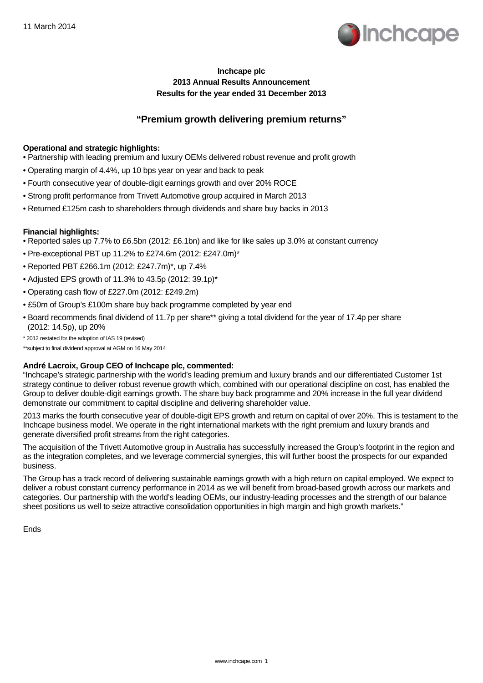

# **Inchcape plc 2013 Annual Results Announcement Results for the year ended 31 December 2013**

# **"Premium growth delivering premium returns"**

## **Operational and strategic highlights:**

- Partnership with leading premium and luxury OEMs delivered robust revenue and profit growth
- Operating margin of 4.4%, up 10 bps year on year and back to peak
- Fourth consecutive year of double-digit earnings growth and over 20% ROCE
- Strong profit performance from Trivett Automotive group acquired in March 2013
- Returned £125m cash to shareholders through dividends and share buy backs in 2013

## **Financial highlights:**

- Reported sales up 7.7% to £6.5bn (2012: £6.1bn) and like for like sales up 3.0% at constant currency
- Pre-exceptional PBT up 11.2% to £274.6m (2012: £247.0m)\*
- Reported PBT £266.1m (2012: £247.7m)\*, up 7.4%
- Adjusted EPS growth of 11.3% to 43.5p (2012: 39.1p)\*
- Operating cash flow of £227.0m (2012: £249.2m)
- £50m of Group's £100m share buy back programme completed by year end
- Board recommends final dividend of 11.7p per share\*\* giving a total dividend for the year of 17.4p per share (2012: 14.5p), up 20%
- \* 2012 restated for the adoption of IAS 19 (revised)

\*\*subject to final dividend approval at AGM on 16 May 2014

### **André Lacroix, Group CEO of Inchcape plc, commented:**

"Inchcape's strategic partnership with the world's leading premium and luxury brands and our differentiated Customer 1st strategy continue to deliver robust revenue growth which, combined with our operational discipline on cost, has enabled the Group to deliver double-digit earnings growth. The share buy back programme and 20% increase in the full year dividend demonstrate our commitment to capital discipline and delivering shareholder value.

2013 marks the fourth consecutive year of double-digit EPS growth and return on capital of over 20%. This is testament to the Inchcape business model. We operate in the right international markets with the right premium and luxury brands and generate diversified profit streams from the right categories.

The acquisition of the Trivett Automotive group in Australia has successfully increased the Group's footprint in the region and as the integration completes, and we leverage commercial synergies, this will further boost the prospects for our expanded business.

The Group has a track record of delivering sustainable earnings growth with a high return on capital employed. We expect to deliver a robust constant currency performance in 2014 as we will benefit from broad-based growth across our markets and categories. Our partnership with the world's leading OEMs, our industry-leading processes and the strength of our balance sheet positions us well to seize attractive consolidation opportunities in high margin and high growth markets."

Ends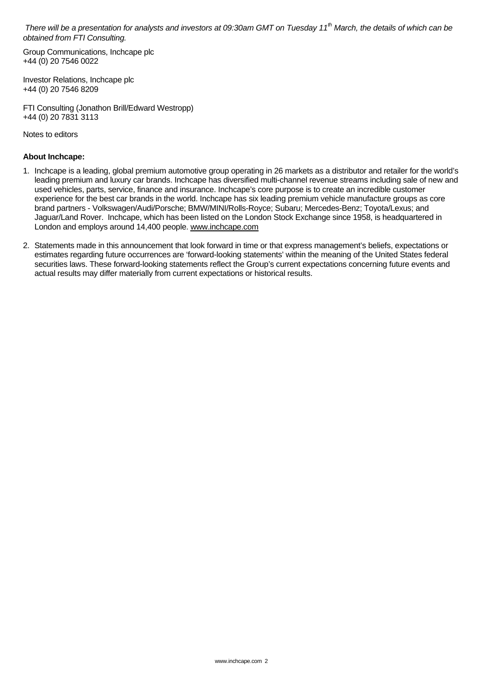*There will be a presentation for analysts and investors at 09:30am GMT on Tuesday 11th March, the details of which can be obtained from FTI Consulting.* 

Group Communications, Inchcape plc +44 (0) 20 7546 0022

Investor Relations, Inchcape plc +44 (0) 20 7546 8209

FTI Consulting (Jonathon Brill/Edward Westropp) +44 (0) 20 7831 3113

Notes to editors

## **About Inchcape:**

- 1. Inchcape is a leading, global premium automotive group operating in 26 markets as a distributor and retailer for the world's leading premium and luxury car brands. Inchcape has diversified multi-channel revenue streams including sale of new and used vehicles, parts, service, finance and insurance. Inchcape's core purpose is to create an incredible customer experience for the best car brands in the world. Inchcape has six leading premium vehicle manufacture groups as core brand partners - Volkswagen/Audi/Porsche; BMW/MINI/Rolls-Royce; Subaru; Mercedes-Benz; Toyota/Lexus; and Jaguar/Land Rover. Inchcape, which has been listed on the London Stock Exchange since 1958, is headquartered in London and employs around 14,400 people. www.inchcape.com
- 2. Statements made in this announcement that look forward in time or that express management's beliefs, expectations or estimates regarding future occurrences are 'forward-looking statements' within the meaning of the United States federal securities laws. These forward-looking statements reflect the Group's current expectations concerning future events and actual results may differ materially from current expectations or historical results.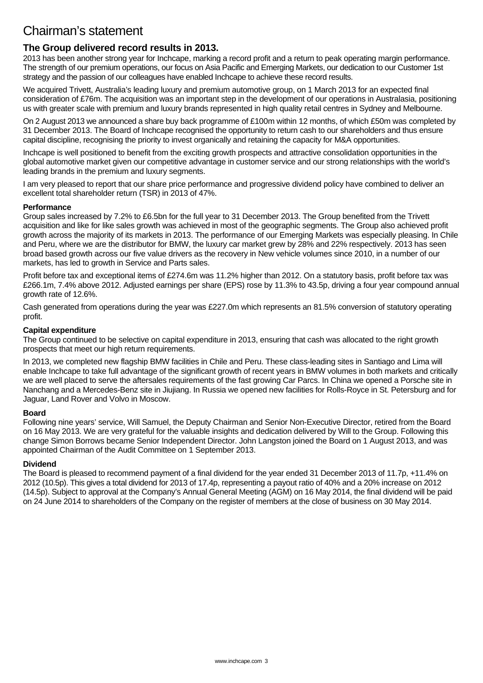# Chairman's statement

# **The Group delivered record results in 2013.**

2013 has been another strong year for Inchcape, marking a record profit and a return to peak operating margin performance. The strength of our premium operations, our focus on Asia Pacific and Emerging Markets, our dedication to our Customer 1st strategy and the passion of our colleagues have enabled Inchcape to achieve these record results.

We acquired Trivett, Australia's leading luxury and premium automotive group, on 1 March 2013 for an expected final consideration of £76m. The acquisition was an important step in the development of our operations in Australasia, positioning us with greater scale with premium and luxury brands represented in high quality retail centres in Sydney and Melbourne.

On 2 August 2013 we announced a share buy back programme of £100m within 12 months, of which £50m was completed by 31 December 2013. The Board of Inchcape recognised the opportunity to return cash to our shareholders and thus ensure capital discipline, recognising the priority to invest organically and retaining the capacity for M&A opportunities.

Inchcape is well positioned to benefit from the exciting growth prospects and attractive consolidation opportunities in the global automotive market given our competitive advantage in customer service and our strong relationships with the world's leading brands in the premium and luxury segments.

I am verv pleased to report that our share price performance and progressive dividend policy have combined to deliver an excellent total shareholder return (TSR) in 2013 of 47%.

## **Performance**

Group sales increased by 7.2% to £6.5bn for the full year to 31 December 2013. The Group benefited from the Trivett acquisition and like for like sales growth was achieved in most of the geographic segments. The Group also achieved profit growth across the majority of its markets in 2013. The performance of our Emerging Markets was especially pleasing. In Chile and Peru, where we are the distributor for BMW, the luxury car market grew by 28% and 22% respectively. 2013 has seen broad based growth across our five value drivers as the recovery in New vehicle volumes since 2010, in a number of our markets, has led to growth in Service and Parts sales.

Profit before tax and exceptional items of £274.6m was 11.2% higher than 2012. On a statutory basis, profit before tax was £266.1m, 7.4% above 2012. Adjusted earnings per share (EPS) rose by 11.3% to 43.5p, driving a four year compound annual growth rate of 12.6%.

Cash generated from operations during the year was £227.0m which represents an 81.5% conversion of statutory operating profit.

## **Capital expenditure**

The Group continued to be selective on capital expenditure in 2013, ensuring that cash was allocated to the right growth prospects that meet our high return requirements.

In 2013, we completed new flagship BMW facilities in Chile and Peru. These class-leading sites in Santiago and Lima will enable Inchcape to take full advantage of the significant growth of recent years in BMW volumes in both markets and critically we are well placed to serve the aftersales requirements of the fast growing Car Parcs. In China we opened a Porsche site in Nanchang and a Mercedes-Benz site in Jiujiang. In Russia we opened new facilities for Rolls-Royce in St. Petersburg and for Jaguar, Land Rover and Volvo in Moscow.

## **Board**

Following nine years' service, Will Samuel, the Deputy Chairman and Senior Non-Executive Director, retired from the Board on 16 May 2013. We are very grateful for the valuable insights and dedication delivered by Will to the Group. Following this change Simon Borrows became Senior Independent Director. John Langston joined the Board on 1 August 2013, and was appointed Chairman of the Audit Committee on 1 September 2013.

### **Dividend**

The Board is pleased to recommend payment of a final dividend for the year ended 31 December 2013 of 11.7p, +11.4% on 2012 (10.5p). This gives a total dividend for 2013 of 17.4p, representing a payout ratio of 40% and a 20% increase on 2012 (14.5p). Subject to approval at the Company's Annual General Meeting (AGM) on 16 May 2014, the final dividend will be paid on 24 June 2014 to shareholders of the Company on the register of members at the close of business on 30 May 2014.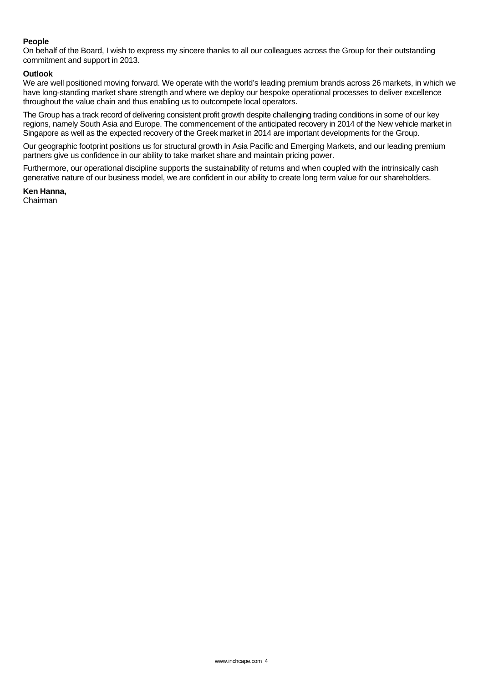### **People**

On behalf of the Board, I wish to express my sincere thanks to all our colleagues across the Group for their outstanding commitment and support in 2013.

### **Outlook**

We are well positioned moving forward. We operate with the world's leading premium brands across 26 markets, in which we have long-standing market share strength and where we deploy our bespoke operational processes to deliver excellence throughout the value chain and thus enabling us to outcompete local operators.

The Group has a track record of delivering consistent profit growth despite challenging trading conditions in some of our key regions, namely South Asia and Europe. The commencement of the anticipated recovery in 2014 of the New vehicle market in Singapore as well as the expected recovery of the Greek market in 2014 are important developments for the Group.

Our geographic footprint positions us for structural growth in Asia Pacific and Emerging Markets, and our leading premium partners give us confidence in our ability to take market share and maintain pricing power.

Furthermore, our operational discipline supports the sustainability of returns and when coupled with the intrinsically cash generative nature of our business model, we are confident in our ability to create long term value for our shareholders.

**Ken Hanna,** 

Chairman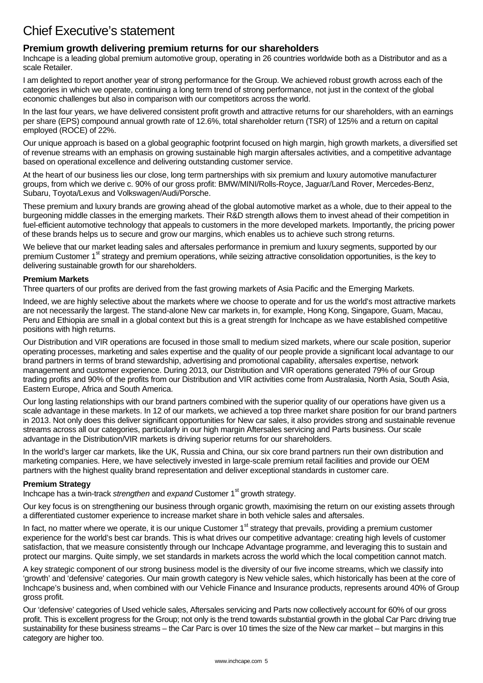# Chief Executive's statement

# **Premium growth delivering premium returns for our shareholders**

Inchcape is a leading global premium automotive group, operating in 26 countries worldwide both as a Distributor and as a scale Retailer.

I am delighted to report another year of strong performance for the Group. We achieved robust growth across each of the categories in which we operate, continuing a long term trend of strong performance, not just in the context of the global economic challenges but also in comparison with our competitors across the world.

In the last four years, we have delivered consistent profit growth and attractive returns for our shareholders, with an earnings per share (EPS) compound annual growth rate of 12.6%, total shareholder return (TSR) of 125% and a return on capital employed (ROCE) of 22%.

Our unique approach is based on a global geographic footprint focused on high margin, high growth markets, a diversified set of revenue streams with an emphasis on growing sustainable high margin aftersales activities, and a competitive advantage based on operational excellence and delivering outstanding customer service.

At the heart of our business lies our close, long term partnerships with six premium and luxury automotive manufacturer groups, from which we derive c. 90% of our gross profit: BMW/MINI/Rolls-Royce, Jaguar/Land Rover, Mercedes-Benz, Subaru, Toyota/Lexus and Volkswagen/Audi/Porsche.

These premium and luxury brands are growing ahead of the global automotive market as a whole, due to their appeal to the burgeoning middle classes in the emerging markets. Their R&D strength allows them to invest ahead of their competition in fuel-efficient automotive technology that appeals to customers in the more developed markets. Importantly, the pricing power of these brands helps us to secure and grow our margins, which enables us to achieve such strong returns.

We believe that our market leading sales and aftersales performance in premium and luxury segments, supported by our premium Customer 1<sup>st</sup> strategy and premium operations, while seizing attractive consolidation opportunities, is the key to delivering sustainable growth for our shareholders.

## **Premium Markets**

Three quarters of our profits are derived from the fast growing markets of Asia Pacific and the Emerging Markets.

Indeed, we are highly selective about the markets where we choose to operate and for us the world's most attractive markets are not necessarily the largest. The stand-alone New car markets in, for example, Hong Kong, Singapore, Guam, Macau, Peru and Ethiopia are small in a global context but this is a great strength for Inchcape as we have established competitive positions with high returns.

Our Distribution and VIR operations are focused in those small to medium sized markets, where our scale position, superior operating processes, marketing and sales expertise and the quality of our people provide a significant local advantage to our brand partners in terms of brand stewardship, advertising and promotional capability, aftersales expertise, network management and customer experience. During 2013, our Distribution and VIR operations generated 79% of our Group trading profits and 90% of the profits from our Distribution and VIR activities come from Australasia, North Asia, South Asia, Eastern Europe, Africa and South America.

Our long lasting relationships with our brand partners combined with the superior quality of our operations have given us a scale advantage in these markets. In 12 of our markets, we achieved a top three market share position for our brand partners in 2013. Not only does this deliver significant opportunities for New car sales, it also provides strong and sustainable revenue streams across all our categories, particularly in our high margin Aftersales servicing and Parts business. Our scale advantage in the Distribution/VIR markets is driving superior returns for our shareholders.

In the world's larger car markets, like the UK, Russia and China, our six core brand partners run their own distribution and marketing companies. Here, we have selectively invested in large-scale premium retail facilities and provide our OEM partners with the highest quality brand representation and deliver exceptional standards in customer care.

## **Premium Strategy**

Inchcape has a twin-track *strengthen* and *expand* Customer 1<sup>st</sup> growth strategy.

Our key focus is on strengthening our business through organic growth, maximising the return on our existing assets through a differentiated customer experience to increase market share in both vehicle sales and aftersales.

In fact, no matter where we operate, it is our unique Customer  $1<sup>st</sup>$  strategy that prevails, providing a premium customer experience for the world's best car brands. This is what drives our competitive advantage: creating high levels of customer satisfaction, that we measure consistently through our Inchcape Advantage programme, and leveraging this to sustain and protect our margins. Quite simply, we set standards in markets across the world which the local competition cannot match.

A key strategic component of our strong business model is the diversity of our five income streams, which we classify into 'growth' and 'defensive' categories. Our main growth category is New vehicle sales, which historically has been at the core of Inchcape's business and, when combined with our Vehicle Finance and Insurance products, represents around 40% of Group gross profit.

Our 'defensive' categories of Used vehicle sales, Aftersales servicing and Parts now collectively account for 60% of our gross profit. This is excellent progress for the Group; not only is the trend towards substantial growth in the global Car Parc driving true sustainability for these business streams – the Car Parc is over 10 times the size of the New car market – but margins in this category are higher too.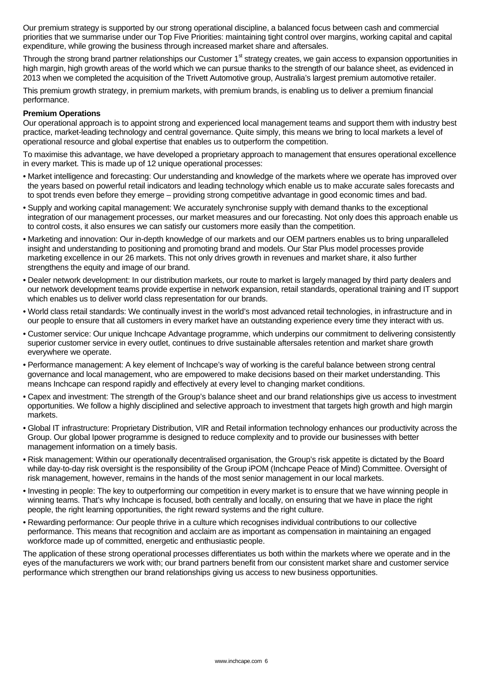Our premium strategy is supported by our strong operational discipline, a balanced focus between cash and commercial priorities that we summarise under our Top Five Priorities: maintaining tight control over margins, working capital and capital expenditure, while growing the business through increased market share and aftersales.

Through the strong brand partner relationships our Customer 1<sup>st</sup> strategy creates, we gain access to expansion opportunities in high margin, high growth areas of the world which we can pursue thanks to the strength of our balance sheet, as evidenced in 2013 when we completed the acquisition of the Trivett Automotive group, Australia's largest premium automotive retailer.

This premium growth strategy, in premium markets, with premium brands, is enabling us to deliver a premium financial performance.

### **Premium Operations**

Our operational approach is to appoint strong and experienced local management teams and support them with industry best practice, market-leading technology and central governance. Quite simply, this means we bring to local markets a level of operational resource and global expertise that enables us to outperform the competition.

To maximise this advantage, we have developed a proprietary approach to management that ensures operational excellence in every market. This is made up of 12 unique operational processes:

- Market intelligence and forecasting: Our understanding and knowledge of the markets where we operate has improved over the years based on powerful retail indicators and leading technology which enable us to make accurate sales forecasts and to spot trends even before they emerge – providing strong competitive advantage in good economic times and bad.
- Supply and working capital management: We accurately synchronise supply with demand thanks to the exceptional integration of our management processes, our market measures and our forecasting. Not only does this approach enable us to control costs, it also ensures we can satisfy our customers more easily than the competition.
- Marketing and innovation: Our in-depth knowledge of our markets and our OEM partners enables us to bring unparalleled insight and understanding to positioning and promoting brand and models. Our Star Plus model processes provide marketing excellence in our 26 markets. This not only drives growth in revenues and market share, it also further strengthens the equity and image of our brand.
- Dealer network development: In our distribution markets, our route to market is largely managed by third party dealers and our network development teams provide expertise in network expansion, retail standards, operational training and IT support which enables us to deliver world class representation for our brands.
- World class retail standards: We continually invest in the world's most advanced retail technologies, in infrastructure and in our people to ensure that all customers in every market have an outstanding experience every time they interact with us.
- Customer service: Our unique Inchcape Advantage programme, which underpins our commitment to delivering consistently superior customer service in every outlet, continues to drive sustainable aftersales retention and market share growth everywhere we operate.
- Performance management: A key element of Inchcape's way of working is the careful balance between strong central governance and local management, who are empowered to make decisions based on their market understanding. This means Inchcape can respond rapidly and effectively at every level to changing market conditions.
- Capex and investment: The strength of the Group's balance sheet and our brand relationships give us access to investment opportunities. We follow a highly disciplined and selective approach to investment that targets high growth and high margin markets.
- Global IT infrastructure: Proprietary Distribution, VIR and Retail information technology enhances our productivity across the Group. Our global Ipower programme is designed to reduce complexity and to provide our businesses with better management information on a timely basis.
- Risk management: Within our operationally decentralised organisation, the Group's risk appetite is dictated by the Board while day-to-day risk oversight is the responsibility of the Group iPOM (Inchcape Peace of Mind) Committee. Oversight of risk management, however, remains in the hands of the most senior management in our local markets.
- Investing in people: The key to outperforming our competition in every market is to ensure that we have winning people in winning teams. That's why Inchcape is focused, both centrally and locally, on ensuring that we have in place the right people, the right learning opportunities, the right reward systems and the right culture.
- Rewarding performance: Our people thrive in a culture which recognises individual contributions to our collective performance. This means that recognition and acclaim are as important as compensation in maintaining an engaged workforce made up of committed, energetic and enthusiastic people.

The application of these strong operational processes differentiates us both within the markets where we operate and in the eyes of the manufacturers we work with; our brand partners benefit from our consistent market share and customer service performance which strengthen our brand relationships giving us access to new business opportunities.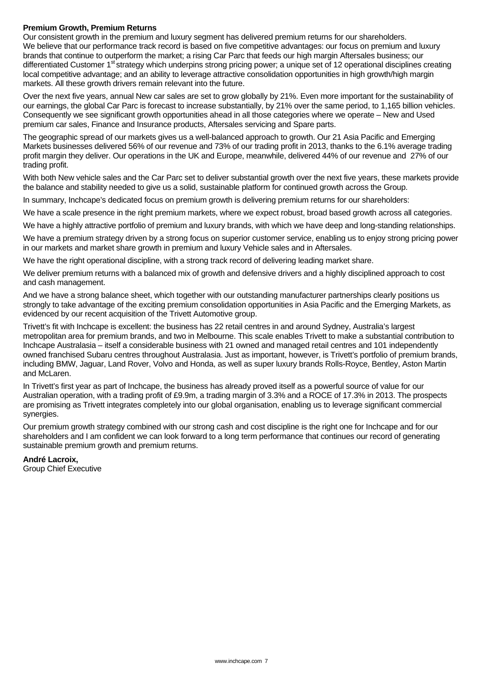## **Premium Growth, Premium Returns**

Our consistent growth in the premium and luxury segment has delivered premium returns for our shareholders. We believe that our performance track record is based on five competitive advantages: our focus on premium and luxury brands that continue to outperform the market; a rising Car Parc that feeds our high margin Aftersales business; our differentiated Customer 1<sup>st</sup> strategy which underpins strong pricing power; a unique set of 12 operational disciplines creating local competitive advantage; and an ability to leverage attractive consolidation opportunities in high growth/high margin markets. All these growth drivers remain relevant into the future.

Over the next five years, annual New car sales are set to grow globally by 21%. Even more important for the sustainability of our earnings, the global Car Parc is forecast to increase substantially, by 21% over the same period, to 1,165 billion vehicles. Consequently we see significant growth opportunities ahead in all those categories where we operate – New and Used premium car sales, Finance and Insurance products, Aftersales servicing and Spare parts.

The geographic spread of our markets gives us a well-balanced approach to growth. Our 21 Asia Pacific and Emerging Markets businesses delivered 56% of our revenue and 73% of our trading profit in 2013, thanks to the 6.1% average trading profit margin they deliver. Our operations in the UK and Europe, meanwhile, delivered 44% of our revenue and 27% of our trading profit.

With both New vehicle sales and the Car Parc set to deliver substantial growth over the next five years, these markets provide the balance and stability needed to give us a solid, sustainable platform for continued growth across the Group.

In summary, Inchcape's dedicated focus on premium growth is delivering premium returns for our shareholders:

We have a scale presence in the right premium markets, where we expect robust, broad based growth across all categories.

We have a highly attractive portfolio of premium and luxury brands, with which we have deep and long-standing relationships.

We have a premium strategy driven by a strong focus on superior customer service, enabling us to enjoy strong pricing power in our markets and market share growth in premium and luxury Vehicle sales and in Aftersales.

We have the right operational discipline, with a strong track record of delivering leading market share.

We deliver premium returns with a balanced mix of growth and defensive drivers and a highly disciplined approach to cost and cash management.

And we have a strong balance sheet, which together with our outstanding manufacturer partnerships clearly positions us strongly to take advantage of the exciting premium consolidation opportunities in Asia Pacific and the Emerging Markets, as evidenced by our recent acquisition of the Trivett Automotive group.

Trivett's fit with Inchcape is excellent: the business has 22 retail centres in and around Sydney, Australia's largest metropolitan area for premium brands, and two in Melbourne. This scale enables Trivett to make a substantial contribution to Inchcape Australasia – itself a considerable business with 21 owned and managed retail centres and 101 independently owned franchised Subaru centres throughout Australasia. Just as important, however, is Trivett's portfolio of premium brands, including BMW, Jaguar, Land Rover, Volvo and Honda, as well as super luxury brands Rolls-Royce, Bentley, Aston Martin and McLaren.

In Trivett's first year as part of Inchcape, the business has already proved itself as a powerful source of value for our Australian operation, with a trading profit of £9.9m, a trading margin of 3.3% and a ROCE of 17.3% in 2013. The prospects are promising as Trivett integrates completely into our global organisation, enabling us to leverage significant commercial synergies.

Our premium growth strategy combined with our strong cash and cost discipline is the right one for Inchcape and for our shareholders and I am confident we can look forward to a long term performance that continues our record of generating sustainable premium growth and premium returns.

## **André Lacroix,**

Group Chief Executive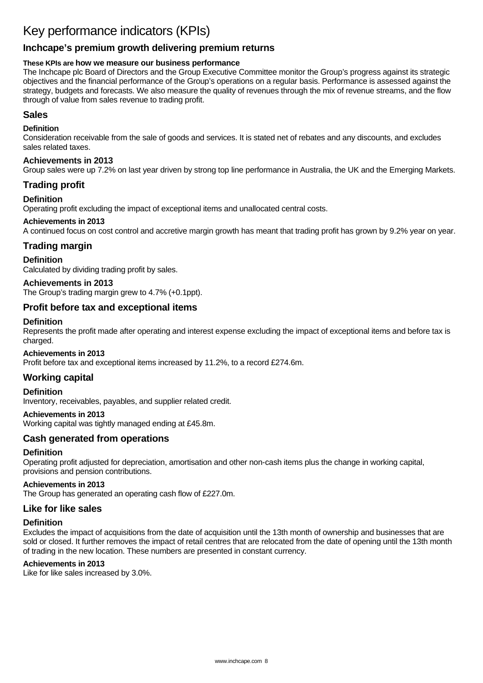# Key performance indicators (KPIs)

# **Inchcape's premium growth delivering premium returns**

# **These KPIs are how we measure our business performance**

The Inchcape plc Board of Directors and the Group Executive Committee monitor the Group's progress against its strategic objectives and the financial performance of the Group's operations on a regular basis. Performance is assessed against the strategy, budgets and forecasts. We also measure the quality of revenues through the mix of revenue streams, and the flow through of value from sales revenue to trading profit.

# **Sales**

## **Definition**

Consideration receivable from the sale of goods and services. It is stated net of rebates and any discounts, and excludes sales related taxes.

## **Achievements in 2013**

Group sales were up 7.2% on last year driven by strong top line performance in Australia, the UK and the Emerging Markets.

# **Trading profit**

## **Definition**

Operating profit excluding the impact of exceptional items and unallocated central costs.

## **Achievements in 2013**

A continued focus on cost control and accretive margin growth has meant that trading profit has grown by 9.2% year on year.

# **Trading margin**

## **Definition**

Calculated by dividing trading profit by sales.

## **Achievements in 2013**

The Group's trading margin grew to 4.7% (+0.1ppt).

# **Profit before tax and exceptional items**

## **Definition**

Represents the profit made after operating and interest expense excluding the impact of exceptional items and before tax is charged.

### **Achievements in 2013**

Profit before tax and exceptional items increased by 11.2%, to a record £274.6m.

## **Working capital**

**Definition** 

Inventory, receivables, payables, and supplier related credit.

## **Achievements in 2013**

Working capital was tightly managed ending at £45.8m.

# **Cash generated from operations**

## **Definition**

Operating profit adjusted for depreciation, amortisation and other non-cash items plus the change in working capital, provisions and pension contributions.

# **Achievements in 2013**

The Group has generated an operating cash flow of £227.0m.

## **Like for like sales**

### **Definition**

Excludes the impact of acquisitions from the date of acquisition until the 13th month of ownership and businesses that are sold or closed. It further removes the impact of retail centres that are relocated from the date of opening until the 13th month of trading in the new location. These numbers are presented in constant currency.

# **Achievements in 2013**

Like for like sales increased by 3.0%.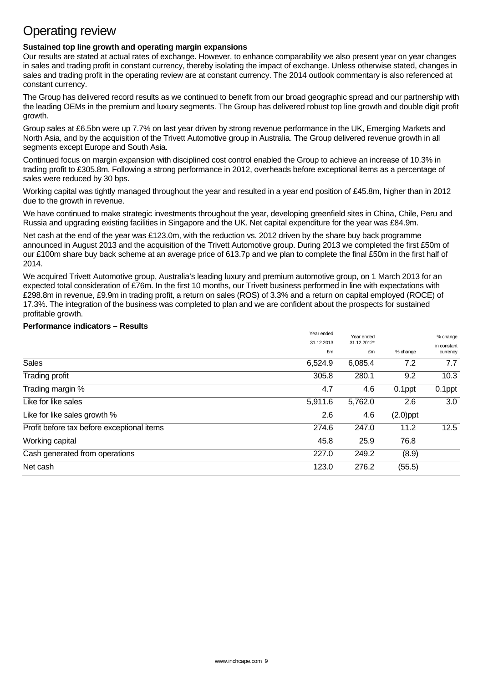# Operating review

## **Sustained top line growth and operating margin expansions**

Our results are stated at actual rates of exchange. However, to enhance comparability we also present year on year changes in sales and trading profit in constant currency, thereby isolating the impact of exchange. Unless otherwise stated, changes in sales and trading profit in the operating review are at constant currency. The 2014 outlook commentary is also referenced at constant currency.

The Group has delivered record results as we continued to benefit from our broad geographic spread and our partnership with the leading OEMs in the premium and luxury segments. The Group has delivered robust top line growth and double digit profit growth.

Group sales at £6.5bn were up 7.7% on last year driven by strong revenue performance in the UK, Emerging Markets and North Asia, and by the acquisition of the Trivett Automotive group in Australia. The Group delivered revenue growth in all segments except Europe and South Asia.

Continued focus on margin expansion with disciplined cost control enabled the Group to achieve an increase of 10.3% in trading profit to £305.8m. Following a strong performance in 2012, overheads before exceptional items as a percentage of sales were reduced by 30 bps.

Working capital was tightly managed throughout the year and resulted in a year end position of £45.8m, higher than in 2012 due to the growth in revenue.

We have continued to make strategic investments throughout the year, developing greenfield sites in China, Chile, Peru and Russia and upgrading existing facilities in Singapore and the UK. Net capital expenditure for the year was £84.9m.

Net cash at the end of the year was £123.0m, with the reduction vs. 2012 driven by the share buy back programme announced in August 2013 and the acquisition of the Trivett Automotive group. During 2013 we completed the first £50m of our £100m share buy back scheme at an average price of 613.7p and we plan to complete the final £50m in the first half of 2014.

We acquired Trivett Automotive group, Australia's leading luxury and premium automotive group, on 1 March 2013 for an expected total consideration of £76m. In the first 10 months, our Trivett business performed in line with expectations with £298.8m in revenue, £9.9m in trading profit, a return on sales (ROS) of 3.3% and a return on capital employed (ROCE) of 17.3%. The integration of the business was completed to plan and we are confident about the prospects for sustained profitable growth.

## **Performance indicators – Results**

| Net cash                                   | 123.0      | 276.2                     | (55.5)      |                         |
|--------------------------------------------|------------|---------------------------|-------------|-------------------------|
| Cash generated from operations             | 227.0      | 249.2                     | (8.9)       |                         |
| Working capital                            | 45.8       | 25.9                      | 76.8        |                         |
| Profit before tax before exceptional items | 274.6      | 247.0                     | 11.2        | 12.5                    |
| Like for like sales growth %               | 2.6        | 4.6                       | $(2.0)$ ppt |                         |
| Like for like sales                        | 5,911.6    | 5,762.0                   | 2.6         | 3.0                     |
| Trading margin %                           | 4.7        | 4.6                       | $0.1$ ppt   | 0.1ppt                  |
| Trading profit                             | 305.8      | 280.1                     | 9.2         | 10.3                    |
| <b>Sales</b>                               | 6,524.9    | 6,085.4                   | 7.2         | 7.7                     |
|                                            | £m         | £m                        | % change    | currency                |
|                                            | 31.12.2013 | Year ended<br>31.12.2012* |             | % change<br>in constant |
|                                            | Year ended |                           |             |                         |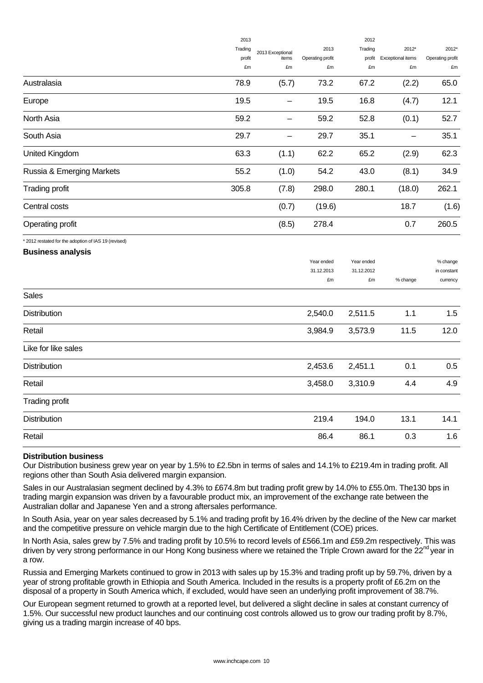|                                                      | 2013    |                          |                  | 2012             |                   |                         |  |
|------------------------------------------------------|---------|--------------------------|------------------|------------------|-------------------|-------------------------|--|
|                                                      | Trading | 2013 Exceptional         | 2013             | Trading          | 2012*             | 2012*                   |  |
|                                                      | profit  | items                    | Operating profit | profit           | Exceptional items | Operating profit        |  |
|                                                      | £m      | £m                       | £m               | £m               | £m                | £m                      |  |
| Australasia                                          | 78.9    | (5.7)                    | 73.2             | 67.2             | (2.2)             | 65.0                    |  |
| Europe                                               | 19.5    |                          | 19.5             | 16.8             | (4.7)             | 12.1                    |  |
| North Asia                                           | 59.2    | $\overline{\phantom{0}}$ | 59.2             | 52.8             | (0.1)             | 52.7                    |  |
| South Asia                                           | 29.7    | $\overline{\phantom{0}}$ | 29.7             | 35.1             |                   | 35.1                    |  |
| United Kingdom                                       | 63.3    | (1.1)                    | 62.2             | 65.2             | (2.9)             | 62.3                    |  |
| Russia & Emerging Markets                            | 55.2    | (1.0)                    | 54.2             | 43.0             | (8.1)             | 34.9                    |  |
| <b>Trading profit</b>                                | 305.8   | (7.8)                    | 298.0            | 280.1            | (18.0)            | 262.1                   |  |
| Central costs                                        |         | (0.7)                    | (19.6)           |                  | 18.7              | (1.6)                   |  |
| Operating profit                                     |         | (8.5)                    | 278.4            |                  | 0.7               | 260.5                   |  |
| * 2012 restated for the adoption of IAS 19 (revised) |         |                          |                  |                  |                   |                         |  |
| <b>Business analysis</b>                             |         |                          |                  |                  |                   |                         |  |
|                                                      |         |                          | Year ended       | Year ended       |                   | % change                |  |
|                                                      |         |                          | 31.12.2013<br>£m | 31.12.2012<br>£m | % change          | in constant<br>currency |  |
| <b>Sales</b>                                         |         |                          |                  |                  |                   |                         |  |
| Distribution                                         |         |                          | 2,540.0          | 2,511.5          | 1.1               | 1.5                     |  |
| Retail                                               |         |                          | 3,984.9          | 3,573.9          | 11.5              | 12.0                    |  |
| Like for like sales                                  |         |                          |                  |                  |                   |                         |  |
| Distribution                                         |         |                          | 2,453.6          | 2,451.1          | 0.1               | 0.5                     |  |
| Retail                                               |         |                          | 3,458.0          | 3,310.9          | 4.4               | 4.9                     |  |
| <b>Trading profit</b>                                |         |                          |                  |                  |                   |                         |  |
| Distribution                                         |         |                          | 219.4            | 194.0            | 13.1              | 14.1                    |  |
| Retail                                               |         |                          | 86.4             | 86.1             | 0.3               | 1.6                     |  |
|                                                      |         |                          |                  |                  |                   |                         |  |

## **Distribution business**

Our Distribution business grew year on year by 1.5% to £2.5bn in terms of sales and 14.1% to £219.4m in trading profit. All regions other than South Asia delivered margin expansion.

Sales in our Australasian segment declined by 4.3% to £674.8m but trading profit grew by 14.0% to £55.0m. The130 bps in trading margin expansion was driven by a favourable product mix, an improvement of the exchange rate between the Australian dollar and Japanese Yen and a strong aftersales performance.

In South Asia, year on year sales decreased by 5.1% and trading profit by 16.4% driven by the decline of the New car market and the competitive pressure on vehicle margin due to the high Certificate of Entitlement (COE) prices.

In North Asia, sales grew by 7.5% and trading profit by 10.5% to record levels of £566.1m and £59.2m respectively. This was driven by very strong performance in our Hong Kong business where we retained the Triple Crown award for the 22<sup>nd</sup> year in a row.

Russia and Emerging Markets continued to grow in 2013 with sales up by 15.3% and trading profit up by 59.7%, driven by a year of strong profitable growth in Ethiopia and South America. Included in the results is a property profit of £6.2m on the disposal of a property in South America which, if excluded, would have seen an underlying profit improvement of 38.7%.

Our European segment returned to growth at a reported level, but delivered a slight decline in sales at constant currency of 1.5%. Our successful new product launches and our continuing cost controls allowed us to grow our trading profit by 8.7%, giving us a trading margin increase of 40 bps.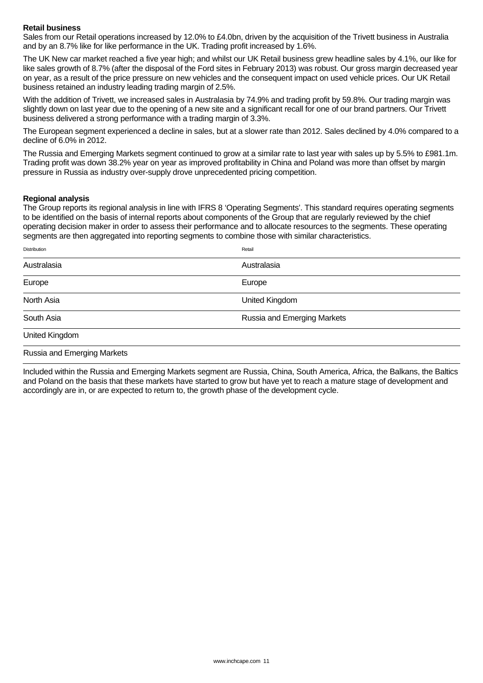## **Retail business**

Sales from our Retail operations increased by 12.0% to £4.0bn, driven by the acquisition of the Trivett business in Australia and by an 8.7% like for like performance in the UK. Trading profit increased by 1.6%.

The UK New car market reached a five year high; and whilst our UK Retail business grew headline sales by 4.1%, our like for like sales growth of 8.7% (after the disposal of the Ford sites in February 2013) was robust. Our gross margin decreased year on year, as a result of the price pressure on new vehicles and the consequent impact on used vehicle prices. Our UK Retail business retained an industry leading trading margin of 2.5%.

With the addition of Trivett, we increased sales in Australasia by 74.9% and trading profit by 59.8%. Our trading margin was slightly down on last year due to the opening of a new site and a significant recall for one of our brand partners. Our Trivett business delivered a strong performance with a trading margin of 3.3%.

The European segment experienced a decline in sales, but at a slower rate than 2012. Sales declined by 4.0% compared to a decline of 6.0% in 2012.

The Russia and Emerging Markets segment continued to grow at a similar rate to last year with sales up by 5.5% to £981.1m. Trading profit was down 38.2% year on year as improved profitability in China and Poland was more than offset by margin pressure in Russia as industry over-supply drove unprecedented pricing competition.

#### **Regional analysis**

The Group reports its regional analysis in line with IFRS 8 'Operating Segments'. This standard requires operating segments to be identified on the basis of internal reports about components of the Group that are regularly reviewed by the chief operating decision maker in order to assess their performance and to allocate resources to the segments. These operating segments are then aggregated into reporting segments to combine those with similar characteristics.

| <b>Distribution</b>         | Retail                      |
|-----------------------------|-----------------------------|
| Australasia                 | Australasia                 |
| Europe                      | Europe                      |
| North Asia                  | United Kingdom              |
| South Asia                  | Russia and Emerging Markets |
| United Kingdom              |                             |
| Russia and Emerging Markets |                             |

Included within the Russia and Emerging Markets segment are Russia, China, South America, Africa, the Balkans, the Baltics and Poland on the basis that these markets have started to grow but have yet to reach a mature stage of development and accordingly are in, or are expected to return to, the growth phase of the development cycle.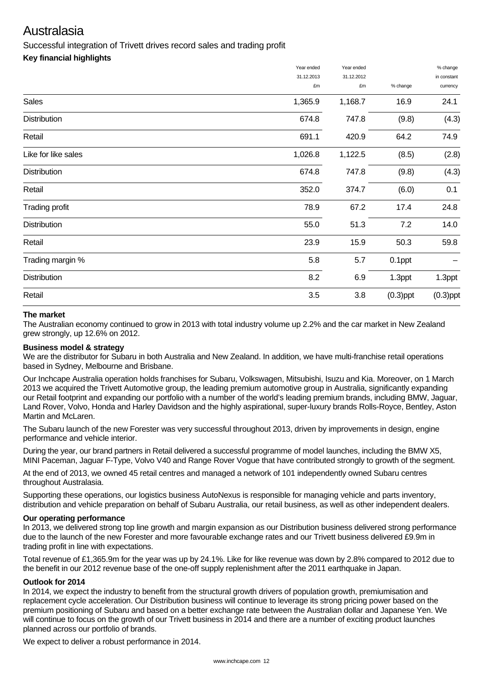# Australasia

Successful integration of Trivett drives record sales and trading profit

# **Key financial highlights**

|                     | Year ended | Year ended |             | % change    |
|---------------------|------------|------------|-------------|-------------|
|                     | 31.12.2013 | 31.12.2012 |             | in constant |
|                     | £m         | £m         | % change    | currency    |
| Sales               | 1,365.9    | 1,168.7    | 16.9        | 24.1        |
| <b>Distribution</b> | 674.8      | 747.8      | (9.8)       | (4.3)       |
| Retail              | 691.1      | 420.9      | 64.2        | 74.9        |
| Like for like sales | 1,026.8    | 1,122.5    | (8.5)       | (2.8)       |
| <b>Distribution</b> | 674.8      | 747.8      | (9.8)       | (4.3)       |
| Retail              | 352.0      | 374.7      | (6.0)       | 0.1         |
| Trading profit      | 78.9       | 67.2       | 17.4        | 24.8        |
| <b>Distribution</b> | 55.0       | 51.3       | 7.2         | 14.0        |
| Retail              | 23.9       | 15.9       | 50.3        | 59.8        |
| Trading margin %    | 5.8        | 5.7        | 0.1ppt      |             |
| <b>Distribution</b> | 8.2        | 6.9        | 1.3ppt      | 1.3ppt      |
| Retail              | 3.5        | 3.8        | $(0.3)$ ppt | $(0.3)$ ppt |

# **The market**

The Australian economy continued to grow in 2013 with total industry volume up 2.2% and the car market in New Zealand grew strongly, up 12.6% on 2012.

## **Business model & strategy**

We are the distributor for Subaru in both Australia and New Zealand. In addition, we have multi-franchise retail operations based in Sydney, Melbourne and Brisbane.

Our Inchcape Australia operation holds franchises for Subaru, Volkswagen, Mitsubishi, Isuzu and Kia. Moreover, on 1 March 2013 we acquired the Trivett Automotive group, the leading premium automotive group in Australia, significantly expanding our Retail footprint and expanding our portfolio with a number of the world's leading premium brands, including BMW, Jaguar, Land Rover, Volvo, Honda and Harley Davidson and the highly aspirational, super-luxury brands Rolls-Royce, Bentley, Aston Martin and McLaren.

The Subaru launch of the new Forester was very successful throughout 2013, driven by improvements in design, engine performance and vehicle interior.

During the year, our brand partners in Retail delivered a successful programme of model launches, including the BMW X5, MINI Paceman, Jaguar F-Type, Volvo V40 and Range Rover Vogue that have contributed strongly to growth of the segment.

At the end of 2013, we owned 45 retail centres and managed a network of 101 independently owned Subaru centres throughout Australasia.

Supporting these operations, our logistics business AutoNexus is responsible for managing vehicle and parts inventory, distribution and vehicle preparation on behalf of Subaru Australia, our retail business, as well as other independent dealers.

## **Our operating performance**

In 2013, we delivered strong top line growth and margin expansion as our Distribution business delivered strong performance due to the launch of the new Forester and more favourable exchange rates and our Trivett business delivered £9.9m in trading profit in line with expectations.

Total revenue of £1,365.9m for the year was up by 24.1%. Like for like revenue was down by 2.8% compared to 2012 due to the benefit in our 2012 revenue base of the one-off supply replenishment after the 2011 earthquake in Japan.

## **Outlook for 2014**

In 2014, we expect the industry to benefit from the structural growth drivers of population growth, premiumisation and replacement cycle acceleration. Our Distribution business will continue to leverage its strong pricing power based on the premium positioning of Subaru and based on a better exchange rate between the Australian dollar and Japanese Yen. We will continue to focus on the growth of our Trivett business in 2014 and there are a number of exciting product launches planned across our portfolio of brands.

We expect to deliver a robust performance in 2014.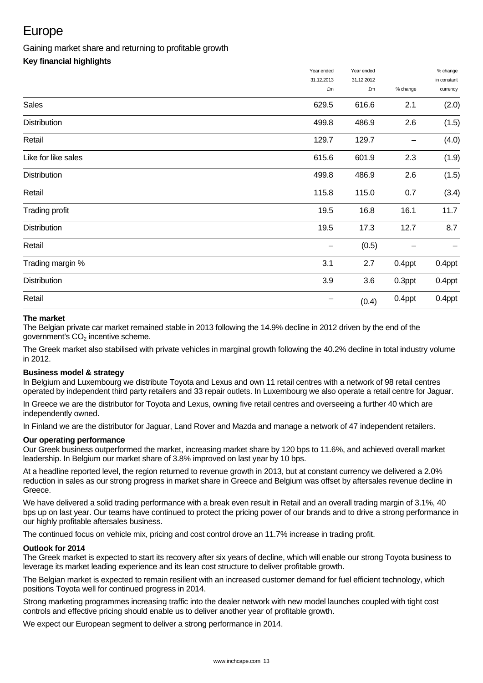# Europe

# Gaining market share and returning to profitable growth

# **Key financial highlights**

|                     | Year ended | Year ended |          | % change<br>in constant |
|---------------------|------------|------------|----------|-------------------------|
|                     | 31.12.2013 | 31.12.2012 |          |                         |
|                     | £m         | £m         | % change | currency                |
| Sales               | 629.5      | 616.6      | 2.1      | (2.0)                   |
| <b>Distribution</b> | 499.8      | 486.9      | 2.6      | (1.5)                   |
| Retail              | 129.7      | 129.7      |          | (4.0)                   |
| Like for like sales | 615.6      | 601.9      | 2.3      | (1.9)                   |
| <b>Distribution</b> | 499.8      | 486.9      | 2.6      | (1.5)                   |
| Retail              | 115.8      | 115.0      | 0.7      | (3.4)                   |
| Trading profit      | 19.5       | 16.8       | 16.1     | 11.7                    |
| Distribution        | 19.5       | 17.3       | 12.7     | 8.7                     |
| Retail              |            | (0.5)      |          |                         |
| Trading margin %    | 3.1        | 2.7        | 0.4ppt   | 0.4ppt                  |
| Distribution        | 3.9        | 3.6        | 0.3ppt   | 0.4ppt                  |
| Retail              |            | (0.4)      | 0.4ppt   | 0.4ppt                  |
|                     |            |            |          |                         |

# **The market**

The Belgian private car market remained stable in 2013 following the 14.9% decline in 2012 driven by the end of the  $a$ overnment's  $CO<sub>2</sub>$  incentive scheme.

The Greek market also stabilised with private vehicles in marginal growth following the 40.2% decline in total industry volume in 2012.

# **Business model & strategy**

In Belgium and Luxembourg we distribute Toyota and Lexus and own 11 retail centres with a network of 98 retail centres operated by independent third party retailers and 33 repair outlets. In Luxembourg we also operate a retail centre for Jaguar.

In Greece we are the distributor for Toyota and Lexus, owning five retail centres and overseeing a further 40 which are independently owned.

In Finland we are the distributor for Jaguar, Land Rover and Mazda and manage a network of 47 independent retailers.

## **Our operating performance**

Our Greek business outperformed the market, increasing market share by 120 bps to 11.6%, and achieved overall market leadership. In Belgium our market share of 3.8% improved on last year by 10 bps.

At a headline reported level, the region returned to revenue growth in 2013, but at constant currency we delivered a 2.0% reduction in sales as our strong progress in market share in Greece and Belgium was offset by aftersales revenue decline in Greece.

We have delivered a solid trading performance with a break even result in Retail and an overall trading margin of 3.1%, 40 bps up on last year. Our teams have continued to protect the pricing power of our brands and to drive a strong performance in our highly profitable aftersales business.

The continued focus on vehicle mix, pricing and cost control drove an 11.7% increase in trading profit.

## **Outlook for 2014**

The Greek market is expected to start its recovery after six years of decline, which will enable our strong Toyota business to leverage its market leading experience and its lean cost structure to deliver profitable growth.

The Belgian market is expected to remain resilient with an increased customer demand for fuel efficient technology, which positions Toyota well for continued progress in 2014.

Strong marketing programmes increasing traffic into the dealer network with new model launches coupled with tight cost controls and effective pricing should enable us to deliver another year of profitable growth.

We expect our European segment to deliver a strong performance in 2014.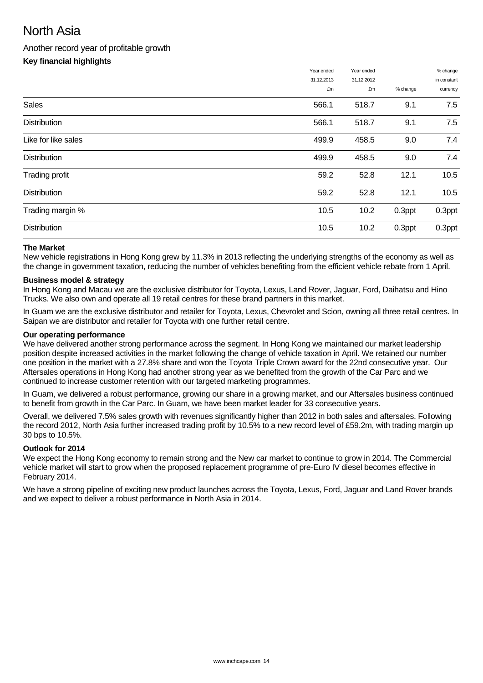# North Asia

# Another record year of profitable growth

# **Key financial highlights**

|                     | Year ended | Year ended |          | % change    |
|---------------------|------------|------------|----------|-------------|
|                     | 31.12.2013 | 31.12.2012 |          | in constant |
|                     | £m         | £m         | % change | currency    |
| <b>Sales</b>        | 566.1      | 518.7      | 9.1      | 7.5         |
| <b>Distribution</b> | 566.1      | 518.7      | 9.1      | 7.5         |
| Like for like sales | 499.9      | 458.5      | 9.0      | 7.4         |
| <b>Distribution</b> | 499.9      | 458.5      | 9.0      | 7.4         |
| Trading profit      | 59.2       | 52.8       | 12.1     | 10.5        |
| <b>Distribution</b> | 59.2       | 52.8       | 12.1     | 10.5        |
| Trading margin %    | 10.5       | 10.2       | 0.3ppt   | 0.3ppt      |
| <b>Distribution</b> | 10.5       | 10.2       | 0.3ppt   | 0.3ppt      |

## **The Market**

New vehicle registrations in Hong Kong grew by 11.3% in 2013 reflecting the underlying strengths of the economy as well as the change in government taxation, reducing the number of vehicles benefiting from the efficient vehicle rebate from 1 April.

## **Business model & strategy**

In Hong Kong and Macau we are the exclusive distributor for Toyota, Lexus, Land Rover, Jaguar, Ford, Daihatsu and Hino Trucks. We also own and operate all 19 retail centres for these brand partners in this market.

In Guam we are the exclusive distributor and retailer for Toyota, Lexus, Chevrolet and Scion, owning all three retail centres. In Saipan we are distributor and retailer for Toyota with one further retail centre.

## **Our operating performance**

We have delivered another strong performance across the segment. In Hong Kong we maintained our market leadership position despite increased activities in the market following the change of vehicle taxation in April. We retained our number one position in the market with a 27.8% share and won the Toyota Triple Crown award for the 22nd consecutive year. Our Aftersales operations in Hong Kong had another strong year as we benefited from the growth of the Car Parc and we continued to increase customer retention with our targeted marketing programmes.

In Guam, we delivered a robust performance, growing our share in a growing market, and our Aftersales business continued to benefit from growth in the Car Parc. In Guam, we have been market leader for 33 consecutive years.

Overall, we delivered 7.5% sales growth with revenues significantly higher than 2012 in both sales and aftersales. Following the record 2012, North Asia further increased trading profit by 10.5% to a new record level of £59.2m, with trading margin up 30 bps to 10.5%.

## **Outlook for 2014**

We expect the Hong Kong economy to remain strong and the New car market to continue to grow in 2014. The Commercial vehicle market will start to grow when the proposed replacement programme of pre-Euro IV diesel becomes effective in February 2014.

We have a strong pipeline of exciting new product launches across the Toyota, Lexus, Ford, Jaguar and Land Rover brands and we expect to deliver a robust performance in North Asia in 2014.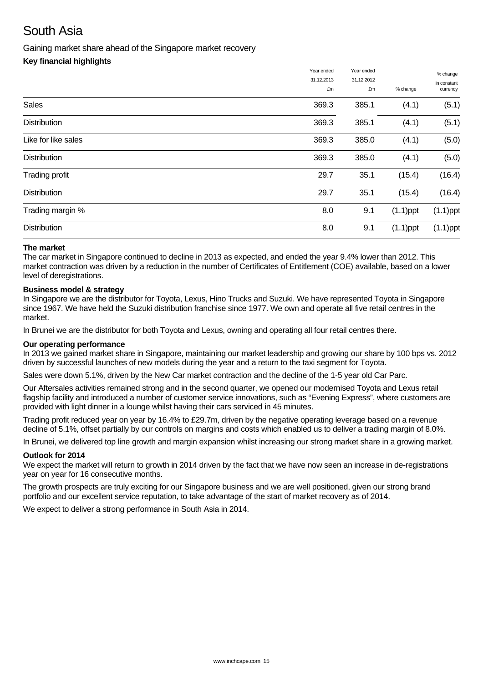# South Asia

Gaining market share ahead of the Singapore market recovery

# **Key financial highlights**

|                     | Year ended | Year ended |             | % change    |
|---------------------|------------|------------|-------------|-------------|
|                     | 31.12.2013 | 31.12.2012 |             | in constant |
|                     | £m         | £m         | % change    | currency    |
| <b>Sales</b>        | 369.3      | 385.1      | (4.1)       | (5.1)       |
| <b>Distribution</b> | 369.3      | 385.1      | (4.1)       | (5.1)       |
| Like for like sales | 369.3      | 385.0      | (4.1)       | (5.0)       |
| <b>Distribution</b> | 369.3      | 385.0      | (4.1)       | (5.0)       |
| Trading profit      | 29.7       | 35.1       | (15.4)      | (16.4)      |
| <b>Distribution</b> | 29.7       | 35.1       | (15.4)      | (16.4)      |
| Trading margin %    | 8.0        | 9.1        | $(1.1)$ ppt | $(1.1)$ ppt |
| <b>Distribution</b> | 8.0        | 9.1        | $(1.1)$ ppt | $(1.1)$ ppt |
|                     |            |            |             |             |

## **The market**

The car market in Singapore continued to decline in 2013 as expected, and ended the year 9.4% lower than 2012. This market contraction was driven by a reduction in the number of Certificates of Entitlement (COE) available, based on a lower level of deregistrations.

## **Business model & strategy**

In Singapore we are the distributor for Tovota, Lexus, Hino Trucks and Suzuki. We have represented Toyota in Singapore since 1967. We have held the Suzuki distribution franchise since 1977. We own and operate all five retail centres in the market.

In Brunei we are the distributor for both Toyota and Lexus, owning and operating all four retail centres there.

### **Our operating performance**

In 2013 we gained market share in Singapore, maintaining our market leadership and growing our share by 100 bps vs. 2012 driven by successful launches of new models during the year and a return to the taxi segment for Toyota.

Sales were down 5.1%, driven by the New Car market contraction and the decline of the 1-5 year old Car Parc.

Our Aftersales activities remained strong and in the second quarter, we opened our modernised Toyota and Lexus retail flagship facility and introduced a number of customer service innovations, such as "Evening Express", where customers are provided with light dinner in a lounge whilst having their cars serviced in 45 minutes.

Trading profit reduced year on year by 16.4% to £29.7m, driven by the negative operating leverage based on a revenue decline of 5.1%, offset partially by our controls on margins and costs which enabled us to deliver a trading margin of 8.0%.

In Brunei, we delivered top line growth and margin expansion whilst increasing our strong market share in a growing market.

### **Outlook for 2014**

We expect the market will return to growth in 2014 driven by the fact that we have now seen an increase in de-registrations year on year for 16 consecutive months.

The growth prospects are truly exciting for our Singapore business and we are well positioned, given our strong brand portfolio and our excellent service reputation, to take advantage of the start of market recovery as of 2014.

We expect to deliver a strong performance in South Asia in 2014.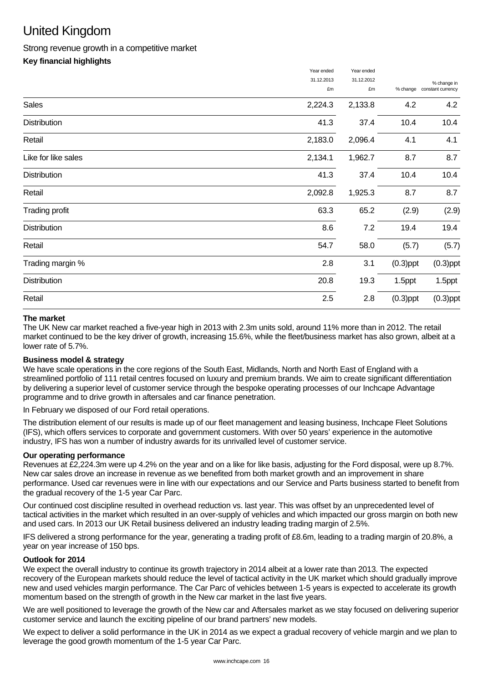# United Kingdom

# Strong revenue growth in a competitive market

# **Key financial highlights**

|                       | Year ended | Year ended |             |                   |
|-----------------------|------------|------------|-------------|-------------------|
|                       | 31.12.2013 | 31.12.2012 |             | % change in       |
|                       | £m         | £m         | % change    | constant currency |
| Sales                 | 2,224.3    | 2,133.8    | 4.2         | 4.2               |
| <b>Distribution</b>   | 41.3       | 37.4       | 10.4        | 10.4              |
| Retail                | 2,183.0    | 2,096.4    | 4.1         | 4.1               |
| Like for like sales   | 2,134.1    | 1,962.7    | 8.7         | 8.7               |
| <b>Distribution</b>   | 41.3       | 37.4       | 10.4        | 10.4              |
| Retail                | 2,092.8    | 1,925.3    | 8.7         | 8.7               |
| <b>Trading profit</b> | 63.3       | 65.2       | (2.9)       | (2.9)             |
| <b>Distribution</b>   | 8.6        | 7.2        | 19.4        | 19.4              |
| Retail                | 54.7       | 58.0       | (5.7)       | (5.7)             |
| Trading margin %      | 2.8        | 3.1        | $(0.3)$ ppt | $(0.3)$ ppt       |
| Distribution          | 20.8       | 19.3       | 1.5ppt      | 1.5ppt            |
| Retail                | 2.5        | 2.8        | $(0.3)$ ppt | $(0.3)$ ppt       |
|                       |            |            |             |                   |

# **The market**

The UK New car market reached a five-year high in 2013 with 2.3m units sold, around 11% more than in 2012. The retail market continued to be the key driver of growth, increasing 15.6%, while the fleet/business market has also grown, albeit at a lower rate of 5.7%.

# **Business model & strategy**

We have scale operations in the core regions of the South East, Midlands, North and North East of England with a streamlined portfolio of 111 retail centres focused on luxury and premium brands. We aim to create significant differentiation by delivering a superior level of customer service through the bespoke operating processes of our Inchcape Advantage programme and to drive growth in aftersales and car finance penetration.

In February we disposed of our Ford retail operations.

The distribution element of our results is made up of our fleet management and leasing business, Inchcape Fleet Solutions (IFS), which offers services to corporate and government customers. With over 50 years' experience in the automotive industry, IFS has won a number of industry awards for its unrivalled level of customer service.

## **Our operating performance**

Revenues at £2,224.3m were up 4.2% on the year and on a like for like basis, adjusting for the Ford disposal, were up 8.7%. New car sales drove an increase in revenue as we benefited from both market growth and an improvement in share performance. Used car revenues were in line with our expectations and our Service and Parts business started to benefit from the gradual recovery of the 1-5 year Car Parc.

Our continued cost discipline resulted in overhead reduction vs. last year. This was offset by an unprecedented level of tactical activities in the market which resulted in an over-supply of vehicles and which impacted our gross margin on both new and used cars. In 2013 our UK Retail business delivered an industry leading trading margin of 2.5%.

IFS delivered a strong performance for the year, generating a trading profit of £8.6m, leading to a trading margin of 20.8%, a year on year increase of 150 bps.

## **Outlook for 2014**

We expect the overall industry to continue its growth trajectory in 2014 albeit at a lower rate than 2013. The expected recovery of the European markets should reduce the level of tactical activity in the UK market which should gradually improve new and used vehicles margin performance. The Car Parc of vehicles between 1-5 years is expected to accelerate its growth momentum based on the strength of growth in the New car market in the last five years.

We are well positioned to leverage the growth of the New car and Aftersales market as we stay focused on delivering superior customer service and launch the exciting pipeline of our brand partners' new models.

We expect to deliver a solid performance in the UK in 2014 as we expect a gradual recovery of vehicle margin and we plan to leverage the good growth momentum of the 1-5 year Car Parc.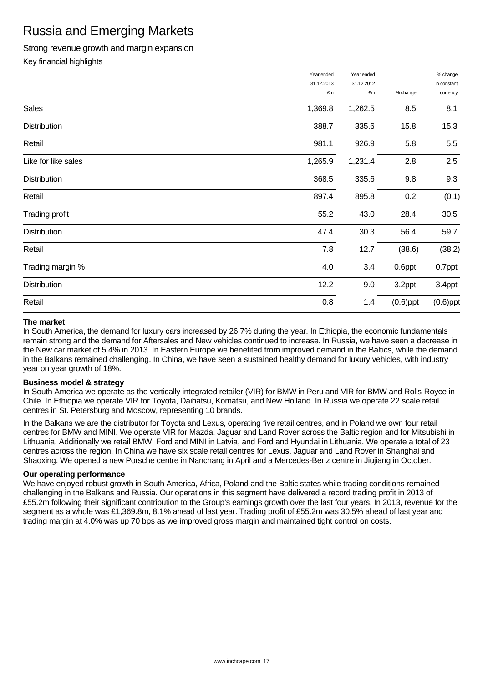# Russia and Emerging Markets

# Strong revenue growth and margin expansion

Key financial highlights

|                     | Year ended | Year ended |             | % change    |
|---------------------|------------|------------|-------------|-------------|
|                     | 31.12.2013 | 31.12.2012 |             | in constant |
|                     | £m         | £m         | % change    | currency    |
| Sales               | 1,369.8    | 1,262.5    | 8.5         | 8.1         |
| Distribution        | 388.7      | 335.6      | 15.8        | 15.3        |
| Retail              | 981.1      | 926.9      | 5.8         | 5.5         |
| Like for like sales | 1,265.9    | 1,231.4    | 2.8         | 2.5         |
| <b>Distribution</b> | 368.5      | 335.6      | 9.8         | 9.3         |
| Retail              | 897.4      | 895.8      | 0.2         | (0.1)       |
| Trading profit      | 55.2       | 43.0       | 28.4        | 30.5        |
| <b>Distribution</b> | 47.4       | 30.3       | 56.4        | 59.7        |
| Retail              | 7.8        | 12.7       | (38.6)      | (38.2)      |
| Trading margin %    | 4.0        | 3.4        | 0.6ppt      | 0.7ppt      |
| <b>Distribution</b> | 12.2       | 9.0        | 3.2ppt      | 3.4ppt      |
| Retail              | 0.8        | 1.4        | $(0.6)$ ppt | $(0.6)$ ppt |

# **The market**

In South America, the demand for luxury cars increased by 26.7% during the year. In Ethiopia, the economic fundamentals remain strong and the demand for Aftersales and New vehicles continued to increase. In Russia, we have seen a decrease in the New car market of 5.4% in 2013. In Eastern Europe we benefited from improved demand in the Baltics, while the demand in the Balkans remained challenging. In China, we have seen a sustained healthy demand for luxury vehicles, with industry year on year growth of 18%.

## **Business model & strategy**

In South America we operate as the vertically integrated retailer (VIR) for BMW in Peru and VIR for BMW and Rolls-Royce in Chile. In Ethiopia we operate VIR for Toyota, Daihatsu, Komatsu, and New Holland. In Russia we operate 22 scale retail centres in St. Petersburg and Moscow, representing 10 brands.

In the Balkans we are the distributor for Toyota and Lexus, operating five retail centres, and in Poland we own four retail centres for BMW and MINI. We operate VIR for Mazda, Jaguar and Land Rover across the Baltic region and for Mitsubishi in Lithuania. Additionally we retail BMW, Ford and MINI in Latvia, and Ford and Hyundai in Lithuania. We operate a total of 23 centres across the region. In China we have six scale retail centres for Lexus, Jaguar and Land Rover in Shanghai and Shaoxing. We opened a new Porsche centre in Nanchang in April and a Mercedes-Benz centre in Jiujiang in October.

## **Our operating performance**

We have enjoyed robust growth in South America, Africa, Poland and the Baltic states while trading conditions remained challenging in the Balkans and Russia. Our operations in this segment have delivered a record trading profit in 2013 of £55.2m following their significant contribution to the Group's earnings growth over the last four years. In 2013, revenue for the segment as a whole was £1,369.8m, 8.1% ahead of last year. Trading profit of £55.2m was 30.5% ahead of last year and trading margin at 4.0% was up 70 bps as we improved gross margin and maintained tight control on costs.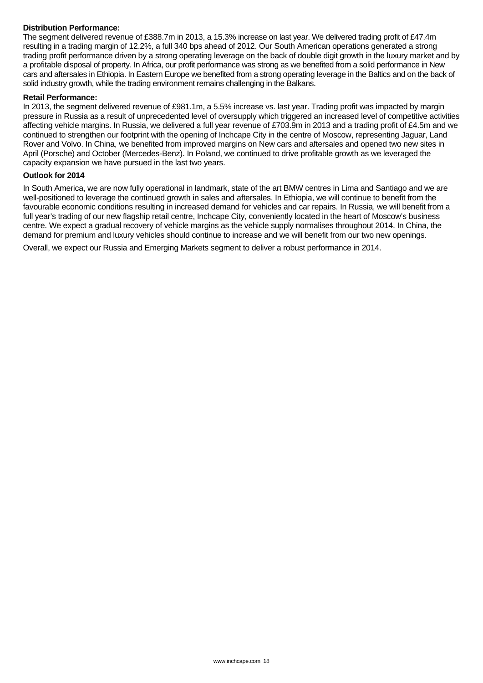## **Distribution Performance:**

The segment delivered revenue of £388.7m in 2013, a 15.3% increase on last year. We delivered trading profit of £47.4m resulting in a trading margin of 12.2%, a full 340 bps ahead of 2012. Our South American operations generated a strong trading profit performance driven by a strong operating leverage on the back of double digit growth in the luxury market and by a profitable disposal of property. In Africa, our profit performance was strong as we benefited from a solid performance in New cars and aftersales in Ethiopia. In Eastern Europe we benefited from a strong operating leverage in the Baltics and on the back of solid industry growth, while the trading environment remains challenging in the Balkans.

### **Retail Performance:**

In 2013, the segment delivered revenue of £981.1m, a 5.5% increase vs. last year. Trading profit was impacted by margin pressure in Russia as a result of unprecedented level of oversupply which triggered an increased level of competitive activities affecting vehicle margins. In Russia, we delivered a full year revenue of £703.9m in 2013 and a trading profit of £4.5m and we continued to strengthen our footprint with the opening of Inchcape City in the centre of Moscow, representing Jaguar, Land Rover and Volvo. In China, we benefited from improved margins on New cars and aftersales and opened two new sites in April (Porsche) and October (Mercedes-Benz). In Poland, we continued to drive profitable growth as we leveraged the capacity expansion we have pursued in the last two years.

### **Outlook for 2014**

In South America, we are now fully operational in landmark, state of the art BMW centres in Lima and Santiago and we are well-positioned to leverage the continued growth in sales and aftersales. In Ethiopia, we will continue to benefit from the favourable economic conditions resulting in increased demand for vehicles and car repairs. In Russia, we will benefit from a full year's trading of our new flagship retail centre, Inchcape City, conveniently located in the heart of Moscow's business centre. We expect a gradual recovery of vehicle margins as the vehicle supply normalises throughout 2014. In China, the demand for premium and luxury vehicles should continue to increase and we will benefit from our two new openings.

Overall, we expect our Russia and Emerging Markets segment to deliver a robust performance in 2014.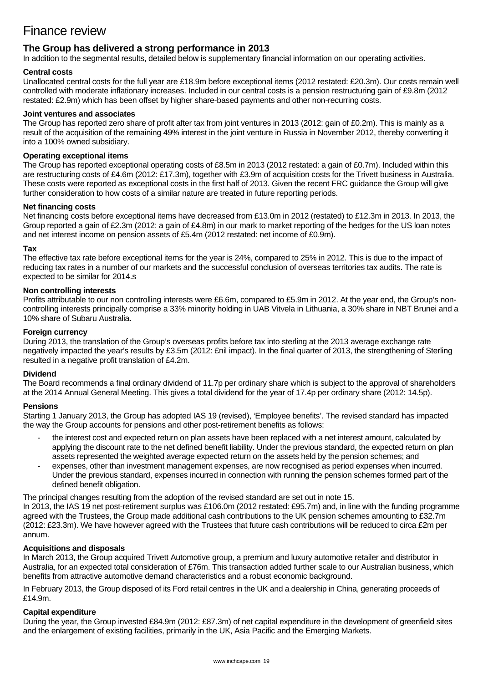# Finance review

# **The Group has delivered a strong performance in 2013**

In addition to the segmental results, detailed below is supplementary financial information on our operating activities.

## **Central costs**

Unallocated central costs for the full year are £18.9m before exceptional items (2012 restated: £20.3m). Our costs remain well controlled with moderate inflationary increases. Included in our central costs is a pension restructuring gain of £9.8m (2012 restated: £2.9m) which has been offset by higher share-based payments and other non-recurring costs.

### **Joint ventures and associates**

The Group has reported zero share of profit after tax from joint ventures in 2013 (2012: gain of £0.2m). This is mainly as a result of the acquisition of the remaining 49% interest in the joint venture in Russia in November 2012, thereby converting it into a 100% owned subsidiary.

# **Operating exceptional items**

The Group has reported exceptional operating costs of £8.5m in 2013 (2012 restated: a gain of £0.7m). Included within this are restructuring costs of £4.6m (2012: £17.3m), together with £3.9m of acquisition costs for the Trivett business in Australia. These costs were reported as exceptional costs in the first half of 2013. Given the recent FRC guidance the Group will give further consideration to how costs of a similar nature are treated in future reporting periods.

#### **Net financing costs**

Net financing costs before exceptional items have decreased from £13.0m in 2012 (restated) to £12.3m in 2013. In 2013, the Group reported a gain of £2.3m (2012: a gain of £4.8m) in our mark to market reporting of the hedges for the US loan notes and net interest income on pension assets of £5.4m (2012 restated: net income of £0.9m).

### **Tax**

The effective tax rate before exceptional items for the year is 24%, compared to 25% in 2012. This is due to the impact of reducing tax rates in a number of our markets and the successful conclusion of overseas territories tax audits. The rate is expected to be similar for 2014.s

### **Non controlling interests**

Profits attributable to our non controlling interests were £6.6m, compared to £5.9m in 2012. At the year end, the Group's noncontrolling interests principally comprise a 33% minority holding in UAB Vitvela in Lithuania, a 30% share in NBT Brunei and a 10% share of Subaru Australia.

### **Foreign currency**

During 2013, the translation of the Group's overseas profits before tax into sterling at the 2013 average exchange rate negatively impacted the year's results by £3.5m (2012: £nil impact). In the final quarter of 2013, the strengthening of Sterling resulted in a negative profit translation of £4.2m.

### **Dividend**

The Board recommends a final ordinary dividend of 11.7p per ordinary share which is subject to the approval of shareholders at the 2014 Annual General Meeting. This gives a total dividend for the year of 17.4p per ordinary share (2012: 14.5p).

### **Pensions**

Starting 1 January 2013, the Group has adopted IAS 19 (revised), 'Employee benefits'. The revised standard has impacted the way the Group accounts for pensions and other post-retirement benefits as follows:

- the interest cost and expected return on plan assets have been replaced with a net interest amount, calculated by applying the discount rate to the net defined benefit liability. Under the previous standard, the expected return on plan assets represented the weighted average expected return on the assets held by the pension schemes; and
- expenses, other than investment management expenses, are now recognised as period expenses when incurred. Under the previous standard, expenses incurred in connection with running the pension schemes formed part of the defined benefit obligation.

The principal changes resulting from the adoption of the revised standard are set out in note 15.

In 2013, the IAS 19 net post-retirement surplus was £106.0m (2012 restated: £95.7m) and, in line with the funding programme agreed with the Trustees, the Group made additional cash contributions to the UK pension schemes amounting to £32.7m (2012: £23.3m). We have however agreed with the Trustees that future cash contributions will be reduced to circa £2m per annum.

### **Acquisitions and disposals**

In March 2013, the Group acquired Trivett Automotive group, a premium and luxury automotive retailer and distributor in Australia, for an expected total consideration of £76m. This transaction added further scale to our Australian business, which benefits from attractive automotive demand characteristics and a robust economic background.

In February 2013, the Group disposed of its Ford retail centres in the UK and a dealership in China, generating proceeds of £14.9m.

### **Capital expenditure**

During the year, the Group invested £84.9m (2012: £87.3m) of net capital expenditure in the development of greenfield sites and the enlargement of existing facilities, primarily in the UK, Asia Pacific and the Emerging Markets.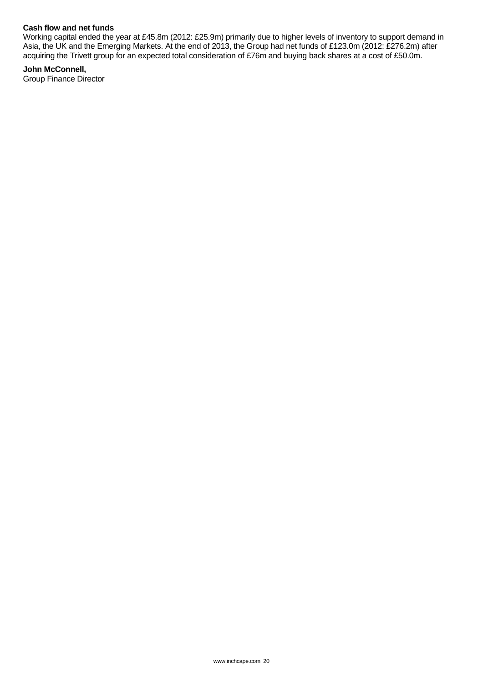## **Cash flow and net funds**

Working capital ended the year at £45.8m (2012: £25.9m) primarily due to higher levels of inventory to support demand in Asia, the UK and the Emerging Markets. At the end of 2013, the Group had net funds of £123.0m (2012: £276.2m) after acquiring the Trivett group for an expected total consideration of £76m and buying back shares at a cost of £50.0m.

**John McConnell,**  Group Finance Director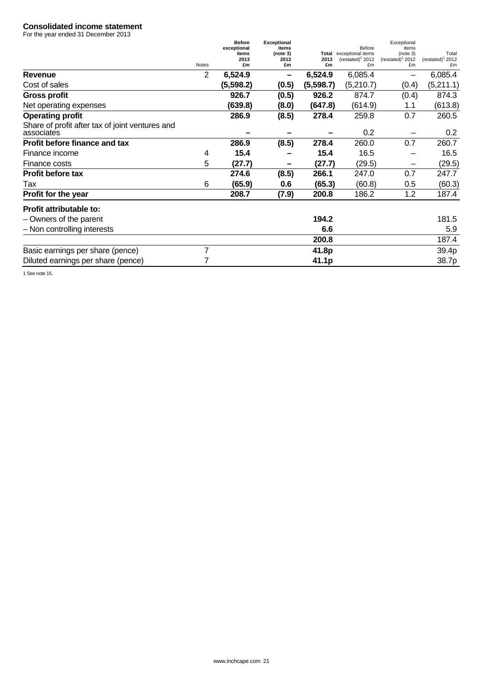#### **Consolidated income statement**

For the year ended 31 December 2013

|                                                               |              | <b>Before</b> | <b>Exceptional</b> |               |                                            | Exceptional                       |                                     |
|---------------------------------------------------------------|--------------|---------------|--------------------|---------------|--------------------------------------------|-----------------------------------|-------------------------------------|
|                                                               |              | exceptional   | items              |               | Before                                     | items                             |                                     |
|                                                               |              | items<br>2013 | (note 3)<br>2013   | Total<br>2013 | exceptional items<br>$(restated)^{1}$ 2012 | (note 3)<br>$(restated)^{1}$ 2012 | Total<br>(rested) <sup>1</sup> 2012 |
|                                                               | <b>Notes</b> | £m            | £m                 | £m            | £m                                         | £m                                | £m                                  |
| <b>Revenue</b>                                                | 2            | 6,524.9       | -                  | 6,524.9       | 6,085.4                                    | -                                 | 6,085.4                             |
| Cost of sales                                                 |              | (5,598.2)     | (0.5)              | (5,598.7)     | (5,210.7)                                  | (0.4)                             | (5,211.1)                           |
| <b>Gross profit</b>                                           |              | 926.7         | (0.5)              | 926.2         | 874.7                                      | (0.4)                             | 874.3                               |
| Net operating expenses                                        |              | (639.8)       | (8.0)              | (647.8)       | (614.9)                                    | 1.1                               | (613.8)                             |
| <b>Operating profit</b>                                       |              | 286.9         | (8.5)              | 278.4         | 259.8                                      | 0.7                               | 260.5                               |
| Share of profit after tax of joint ventures and<br>associates |              |               |                    |               | 0.2                                        |                                   | 0.2                                 |
| Profit before finance and tax                                 |              | 286.9         | (8.5)              | 278.4         | 260.0                                      | 0.7                               | 260.7                               |
| Finance income                                                | 4            | 15.4          |                    | 15.4          | 16.5                                       |                                   | 16.5                                |
| Finance costs                                                 | 5            | (27.7)        |                    | (27.7)        | (29.5)                                     |                                   | (29.5)                              |
| <b>Profit before tax</b>                                      |              | 274.6         | (8.5)              | 266.1         | 247.0                                      | 0.7                               | 247.7                               |
| Tax                                                           | 6            | (65.9)        | 0.6                | (65.3)        | (60.8)                                     | 0.5                               | (60.3)                              |
| Profit for the year                                           |              | 208.7         | (7.9)              | 200.8         | 186.2                                      | 1.2                               | 187.4                               |
| Profit attributable to:                                       |              |               |                    |               |                                            |                                   |                                     |
| - Owners of the parent                                        |              |               |                    | 194.2         |                                            |                                   | 181.5                               |
| - Non controlling interests                                   |              |               |                    | 6.6           |                                            |                                   | 5.9                                 |
|                                                               |              |               |                    | 200.8         |                                            |                                   | 187.4                               |
| Basic earnings per share (pence)                              | 7            |               |                    | 41.8p         |                                            |                                   | 39.4p                               |
| Diluted earnings per share (pence)                            |              |               |                    | 41.1p         |                                            |                                   | 38.7p                               |
|                                                               |              |               |                    |               |                                            |                                   |                                     |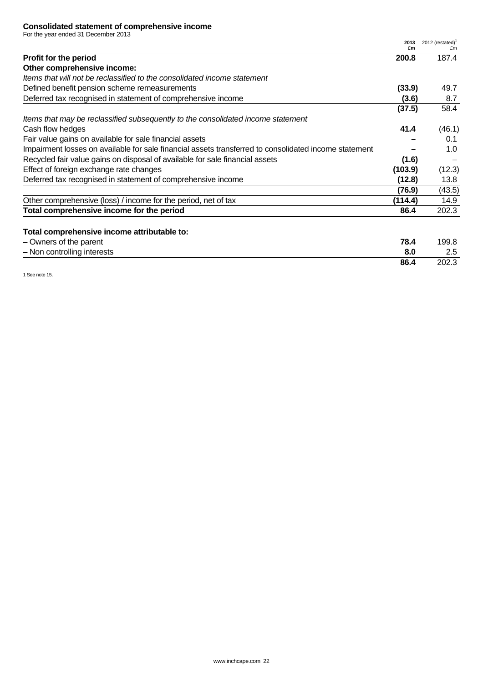## **Consolidated statement of comprehensive income**

For the year ended 31 December 2013

|                                                                                                       | 2013<br>£m | 2012 (restated) $1$<br>£m |
|-------------------------------------------------------------------------------------------------------|------------|---------------------------|
| Profit for the period                                                                                 | 200.8      | 187.4                     |
| Other comprehensive income:                                                                           |            |                           |
| Items that will not be reclassified to the consolidated income statement                              |            |                           |
| Defined benefit pension scheme remeasurements                                                         | (33.9)     | 49.7                      |
| Deferred tax recognised in statement of comprehensive income                                          | (3.6)      | 8.7                       |
|                                                                                                       | (37.5)     | 58.4                      |
| Items that may be reclassified subsequently to the consolidated income statement                      |            |                           |
| Cash flow hedges                                                                                      | 41.4       | (46.1)                    |
| Fair value gains on available for sale financial assets                                               |            | 0.1                       |
| Impairment losses on available for sale financial assets transferred to consolidated income statement |            | 1.0                       |
| Recycled fair value gains on disposal of available for sale financial assets                          | (1.6)      |                           |
| Effect of foreign exchange rate changes                                                               | (103.9)    | (12.3)                    |
| Deferred tax recognised in statement of comprehensive income                                          | (12.8)     | 13.8                      |
|                                                                                                       | (76.9)     | (43.5)                    |
| Other comprehensive (loss) / income for the period, net of tax                                        | (114.4)    | 14.9                      |
| Total comprehensive income for the period                                                             | 86.4       | 202.3                     |
| Total comprehensive income attributable to:                                                           |            |                           |

| - Owners of the parent      | 78.4 | 199.8 |
|-----------------------------|------|-------|
| - Non controlling interests | ŏ.l  | ں.ے   |
|                             | 86.4 | 202.3 |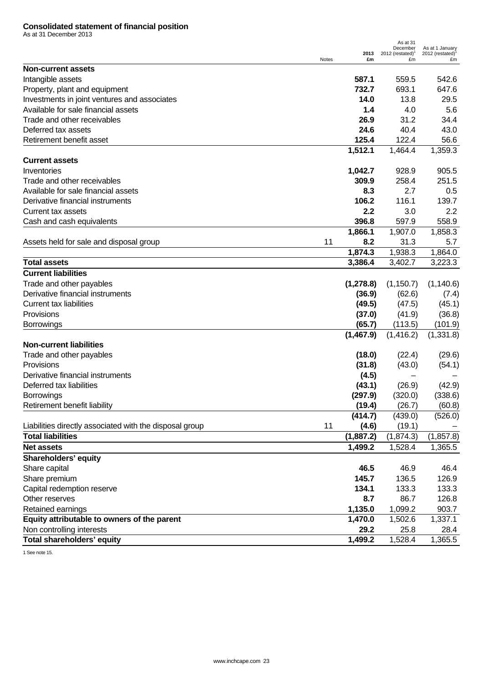#### **Consolidated statement of financial position**

As at 31 December 2013

|                                                         |       |            | As at 31<br>December               | As at 1 January                      |
|---------------------------------------------------------|-------|------------|------------------------------------|--------------------------------------|
|                                                         | Notes | 2013<br>£m | 2012 (restated) $^{\dagger}$<br>£m | $2012$ (restated) <sup>1</sup><br>£m |
| <b>Non-current assets</b>                               |       |            |                                    |                                      |
| Intangible assets                                       |       | 587.1      | 559.5                              | 542.6                                |
| Property, plant and equipment                           |       | 732.7      | 693.1                              | 647.6                                |
| Investments in joint ventures and associates            |       | 14.0       | 13.8                               | 29.5                                 |
| Available for sale financial assets                     |       | 1.4        | 4.0                                | 5.6                                  |
| Trade and other receivables                             |       | 26.9       | 31.2                               | 34.4                                 |
| Deferred tax assets                                     |       | 24.6       | 40.4                               | 43.0                                 |
| Retirement benefit asset                                |       | 125.4      | 122.4                              | 56.6                                 |
|                                                         |       | 1,512.1    | 1,464.4                            | 1,359.3                              |
| <b>Current assets</b>                                   |       |            |                                    |                                      |
| Inventories                                             |       | 1,042.7    | 928.9                              | 905.5                                |
| Trade and other receivables                             |       | 309.9      | 258.4                              | 251.5                                |
| Available for sale financial assets                     |       | 8.3        | 2.7                                | 0.5                                  |
| Derivative financial instruments                        |       | 106.2      | 116.1                              | 139.7                                |
| Current tax assets                                      |       | 2.2        | 3.0                                | 2.2                                  |
| Cash and cash equivalents                               |       | 396.8      | 597.9                              | 558.9                                |
|                                                         |       | 1,866.1    | 1,907.0                            | 1,858.3                              |
| Assets held for sale and disposal group                 | 11    | 8.2        | 31.3                               | 5.7                                  |
|                                                         |       | 1,874.3    | 1,938.3                            | 1,864.0                              |
| <b>Total assets</b>                                     |       | 3,386.4    | 3,402.7                            | 3,223.3                              |
|                                                         |       |            |                                    |                                      |
| <b>Current liabilities</b>                              |       |            |                                    |                                      |
| Trade and other payables                                |       | (1, 278.8) | (1, 150.7)                         | (1, 140.6)                           |
| Derivative financial instruments                        |       | (36.9)     | (62.6)                             | (7.4)                                |
| <b>Current tax liabilities</b>                          |       | (49.5)     | (47.5)                             | (45.1)                               |
| Provisions                                              |       | (37.0)     | (41.9)                             | (36.8)                               |
| <b>Borrowings</b>                                       |       | (65.7)     | (113.5)                            | (101.9)                              |
|                                                         |       | (1,467.9)  | (1, 416.2)                         | (1,331.8)                            |
| <b>Non-current liabilities</b>                          |       |            |                                    |                                      |
| Trade and other payables                                |       | (18.0)     | (22.4)                             | (29.6)                               |
| Provisions                                              |       | (31.8)     | (43.0)                             | (54.1)                               |
| Derivative financial instruments                        |       | (4.5)      |                                    |                                      |
| Deferred tax liabilities                                |       | (43.1)     | (26.9)                             | (42.9)                               |
| <b>Borrowings</b>                                       |       | (297.9)    | (320.0)                            | (338.6)                              |
| Retirement benefit liability                            |       | (19.4)     | (26.7)                             | (60.8)                               |
|                                                         |       | (414.7)    | (439.0)                            | (526.0)                              |
| Liabilities directly associated with the disposal group | 11    | (4.6)      | (19.1)                             |                                      |
| <b>Total liabilities</b>                                |       | (1,887.2)  | (1,874.3)                          | (1, 857.8)                           |
| <b>Net assets</b>                                       |       | 1,499.2    | 1,528.4                            | 1,365.5                              |
| <b>Shareholders' equity</b>                             |       |            |                                    |                                      |
| Share capital                                           |       | 46.5       | 46.9                               | 46.4                                 |
| Share premium                                           |       | 145.7      | 136.5                              | 126.9                                |
| Capital redemption reserve                              |       | 134.1      | 133.3                              | 133.3                                |
| Other reserves                                          |       | 8.7        | 86.7                               | 126.8                                |
| Retained earnings                                       |       | 1,135.0    | 1,099.2                            | 903.7                                |
| Equity attributable to owners of the parent             |       | 1,470.0    | 1,502.6                            | 1,337.1                              |
| Non controlling interests                               |       | 29.2       | 25.8                               | 28.4                                 |
| <b>Total shareholders' equity</b>                       |       | 1,499.2    | 1,528.4                            | 1,365.5                              |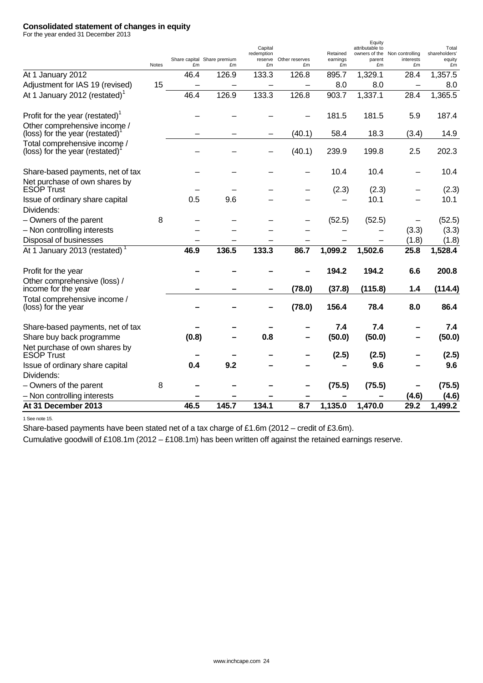## **Consolidated statement of changes in equity**

For the year ended 31 December 2013

|                                                                   | Notes | £m    | Share capital Share premium<br>£m | Capital<br>redemption<br>reserve<br>£m | Other reserves<br>£m | Retained<br>earnings<br>£m | Equity<br>attributable to<br>owners of the<br>parent<br>£m | Non controlling<br>interests<br>£m | Total<br>shareholders'<br>equity<br>£m |
|-------------------------------------------------------------------|-------|-------|-----------------------------------|----------------------------------------|----------------------|----------------------------|------------------------------------------------------------|------------------------------------|----------------------------------------|
| At 1 January 2012                                                 |       | 46.4  | 126.9                             | 133.3                                  | 126.8                | 895.7                      | 1,329.1                                                    | 28.4                               | 1,357.5                                |
| Adjustment for IAS 19 (revised)                                   | 15    |       | $\overline{\phantom{0}}$          | $\overline{\phantom{0}}$               |                      | 8.0                        | 8.0                                                        | $\overline{\phantom{0}}$           | 8.0                                    |
| At 1 January 2012 (restated)                                      |       | 46.4  | 126.9                             | 133.3                                  | 126.8                | 903.7                      | 1,337.1                                                    | 28.4                               | 1,365.5                                |
| Profit for the year (restated) <sup>1</sup>                       |       |       |                                   |                                        |                      | 181.5                      | 181.5                                                      | 5.9                                | 187.4                                  |
| Other comprehensive income /<br>(loss) for the year (restated)    |       |       |                                   |                                        | (40.1)               | 58.4                       | 18.3                                                       | (3.4)                              | 14.9                                   |
| Total comprehensive income /<br>(loss) for the year (restated)    |       |       |                                   |                                        | (40.1)               | 239.9                      | 199.8                                                      | 2.5                                | 202.3                                  |
| Share-based payments, net of tax<br>Net purchase of own shares by |       |       |                                   |                                        |                      | 10.4                       | 10.4                                                       |                                    | 10.4                                   |
| <b>ESOP Trust</b>                                                 |       |       |                                   |                                        |                      | (2.3)                      | (2.3)                                                      |                                    | (2.3)                                  |
| Issue of ordinary share capital<br>Dividends:                     |       | 0.5   | 9.6                               |                                        |                      |                            | 10.1                                                       |                                    | 10.1                                   |
| - Owners of the parent                                            | 8     |       |                                   |                                        |                      | (52.5)                     | (52.5)                                                     |                                    | (52.5)                                 |
| - Non controlling interests                                       |       |       |                                   |                                        |                      |                            |                                                            | (3.3)                              | (3.3)                                  |
| Disposal of businesses                                            |       |       |                                   |                                        |                      |                            |                                                            | (1.8)                              | (1.8)                                  |
| At 1 January 2013 (restated) <sup>1</sup>                         |       | 46.9  | 136.5                             | 133.3                                  | 86.7                 | 1,099.2                    | 1,502.6                                                    | 25.8                               | 1,528.4                                |
| Profit for the year                                               |       |       |                                   |                                        |                      | 194.2                      | 194.2                                                      | 6.6                                | 200.8                                  |
| Other comprehensive (loss) /<br>income for the year               |       |       |                                   |                                        | (78.0)               | (37.8)                     | (115.8)                                                    | 1.4                                | (114.4)                                |
| Total comprehensive income /<br>(loss) for the year               |       |       |                                   |                                        | (78.0)               | 156.4                      | 78.4                                                       | 8.0                                | 86.4                                   |
| Share-based payments, net of tax                                  |       |       |                                   |                                        |                      | 7.4                        | 7.4                                                        |                                    | 7.4                                    |
| Share buy back programme                                          |       | (0.8) |                                   | 0.8                                    |                      | (50.0)                     | (50.0)                                                     |                                    | (50.0)                                 |
| Net purchase of own shares by<br><b>ESOP Trust</b>                |       |       |                                   |                                        |                      | (2.5)                      | (2.5)                                                      |                                    | (2.5)                                  |
| Issue of ordinary share capital                                   |       | 0.4   | 9.2                               |                                        |                      |                            | 9.6                                                        |                                    | 9.6                                    |
| Dividends:                                                        |       |       |                                   |                                        |                      |                            |                                                            |                                    |                                        |
| - Owners of the parent                                            | 8     |       |                                   |                                        |                      | (75.5)                     | (75.5)                                                     |                                    | (75.5)                                 |
| - Non controlling interests                                       |       |       |                                   |                                        |                      |                            |                                                            | (4.6)                              | (4.6)                                  |
| At 31 December 2013                                               |       | 46.5  | 145.7                             | 134.1                                  | 8.7                  | 1,135.0                    | 1,470.0                                                    | 29.2                               | 1,499.2                                |

1 See note 15.

Share-based payments have been stated net of a tax charge of £1.6m (2012 – credit of £3.6m).

Cumulative goodwill of £108.1m (2012 – £108.1m) has been written off against the retained earnings reserve.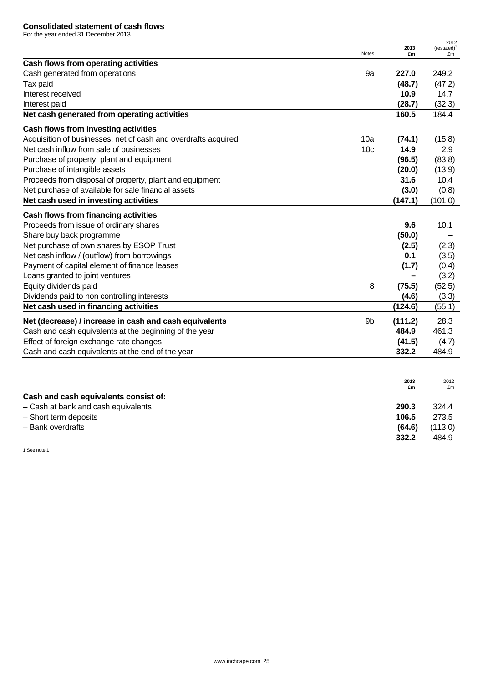For the year ended 31 December 2013

|                                                                |                 | 2013       | 2012<br>(restated) <sup>1</sup> |
|----------------------------------------------------------------|-----------------|------------|---------------------------------|
| Cash flows from operating activities                           | <b>Notes</b>    | £m         | £m                              |
| Cash generated from operations                                 | 9a              | 227.0      | 249.2                           |
| Tax paid                                                       |                 | (48.7)     | (47.2)                          |
| Interest received                                              |                 | 10.9       | 14.7                            |
| Interest paid                                                  |                 | (28.7)     | (32.3)                          |
| Net cash generated from operating activities                   |                 | 160.5      | 184.4                           |
| Cash flows from investing activities                           |                 |            |                                 |
| Acquisition of businesses, net of cash and overdrafts acquired | 10a             | (74.1)     | (15.8)                          |
| Net cash inflow from sale of businesses                        | 10 <sub>c</sub> | 14.9       | 2.9                             |
| Purchase of property, plant and equipment                      |                 | (96.5)     | (83.8)                          |
| Purchase of intangible assets                                  |                 | (20.0)     | (13.9)                          |
| Proceeds from disposal of property, plant and equipment        |                 | 31.6       | 10.4                            |
| Net purchase of available for sale financial assets            |                 | (3.0)      | (0.8)                           |
| Net cash used in investing activities                          |                 | (147.1)    | (101.0)                         |
| Cash flows from financing activities                           |                 |            |                                 |
| Proceeds from issue of ordinary shares                         |                 | 9.6        | 10.1                            |
| Share buy back programme                                       |                 | (50.0)     |                                 |
| Net purchase of own shares by ESOP Trust                       |                 | (2.5)      | (2.3)                           |
| Net cash inflow / (outflow) from borrowings                    |                 | 0.1        | (3.5)                           |
| Payment of capital element of finance leases                   |                 | (1.7)      | (0.4)                           |
| Loans granted to joint ventures                                |                 |            | (3.2)                           |
| Equity dividends paid                                          | 8               | (75.5)     | (52.5)                          |
| Dividends paid to non controlling interests                    |                 | (4.6)      | (3.3)                           |
| Net cash used in financing activities                          |                 | (124.6)    | (55.1)                          |
| Net (decrease) / increase in cash and cash equivalents         | 9b              | (111.2)    | 28.3                            |
| Cash and cash equivalents at the beginning of the year         |                 | 484.9      | 461.3                           |
| Effect of foreign exchange rate changes                        |                 | (41.5)     | (4.7)                           |
| Cash and cash equivalents at the end of the year               |                 | 332.2      | 484.9                           |
|                                                                |                 |            |                                 |
|                                                                |                 | 2013<br>£m | 2012<br>£m                      |
| Cash and cash equivalents consist of:                          |                 |            |                                 |
| - Cash at bank and cash equivalents                            |                 | 290.3      | 324.4                           |
| - Short term deposits                                          |                 | 106.5      | 273.5                           |
| - Bank overdrafts                                              |                 | (64.6)     | (113.0)                         |

**332.2** 484.9

1 See note 1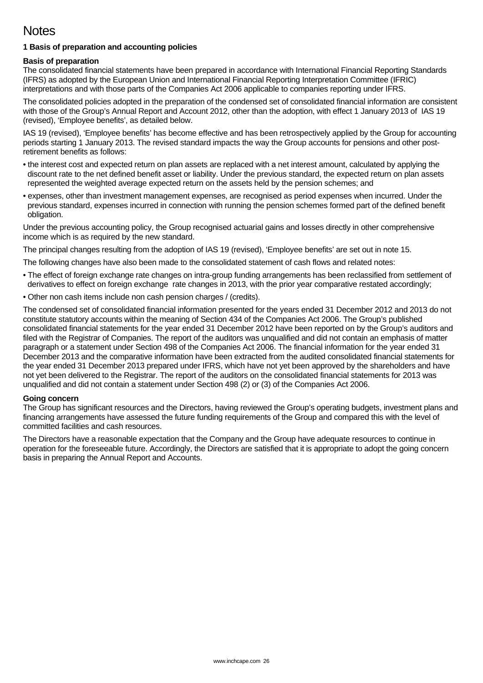# **Notes**

## **1 Basis of preparation and accounting policies**

## **Basis of preparation**

The consolidated financial statements have been prepared in accordance with International Financial Reporting Standards (IFRS) as adopted by the European Union and International Financial Reporting Interpretation Committee (IFRIC) interpretations and with those parts of the Companies Act 2006 applicable to companies reporting under IFRS.

The consolidated policies adopted in the preparation of the condensed set of consolidated financial information are consistent with those of the Group's Annual Report and Account 2012, other than the adoption, with effect 1 January 2013 of IAS 19 (revised), 'Employee benefits', as detailed below.

IAS 19 (revised), 'Employee benefits' has become effective and has been retrospectively applied by the Group for accounting periods starting 1 January 2013. The revised standard impacts the way the Group accounts for pensions and other postretirement benefits as follows:

- the interest cost and expected return on plan assets are replaced with a net interest amount, calculated by applying the discount rate to the net defined benefit asset or liability. Under the previous standard, the expected return on plan assets represented the weighted average expected return on the assets held by the pension schemes; and
- expenses, other than investment management expenses, are recognised as period expenses when incurred. Under the previous standard, expenses incurred in connection with running the pension schemes formed part of the defined benefit obligation.

Under the previous accounting policy, the Group recognised actuarial gains and losses directly in other comprehensive income which is as required by the new standard.

The principal changes resulting from the adoption of IAS 19 (revised), 'Employee benefits' are set out in note 15.

The following changes have also been made to the consolidated statement of cash flows and related notes:

- The effect of foreign exchange rate changes on intra-group funding arrangements has been reclassified from settlement of derivatives to effect on foreign exchange rate changes in 2013, with the prior year comparative restated accordingly;
- Other non cash items include non cash pension charges / (credits).

The condensed set of consolidated financial information presented for the years ended 31 December 2012 and 2013 do not constitute statutory accounts within the meaning of Section 434 of the Companies Act 2006. The Group's published consolidated financial statements for the year ended 31 December 2012 have been reported on by the Group's auditors and filed with the Registrar of Companies. The report of the auditors was unqualified and did not contain an emphasis of matter paragraph or a statement under Section 498 of the Companies Act 2006. The financial information for the year ended 31 December 2013 and the comparative information have been extracted from the audited consolidated financial statements for the year ended 31 December 2013 prepared under IFRS, which have not yet been approved by the shareholders and have not yet been delivered to the Registrar. The report of the auditors on the consolidated financial statements for 2013 was unqualified and did not contain a statement under Section 498 (2) or (3) of the Companies Act 2006.

### **Going concern**

The Group has significant resources and the Directors, having reviewed the Group's operating budgets, investment plans and financing arrangements have assessed the future funding requirements of the Group and compared this with the level of committed facilities and cash resources.

The Directors have a reasonable expectation that the Company and the Group have adequate resources to continue in operation for the foreseeable future. Accordingly, the Directors are satisfied that it is appropriate to adopt the going concern basis in preparing the Annual Report and Accounts.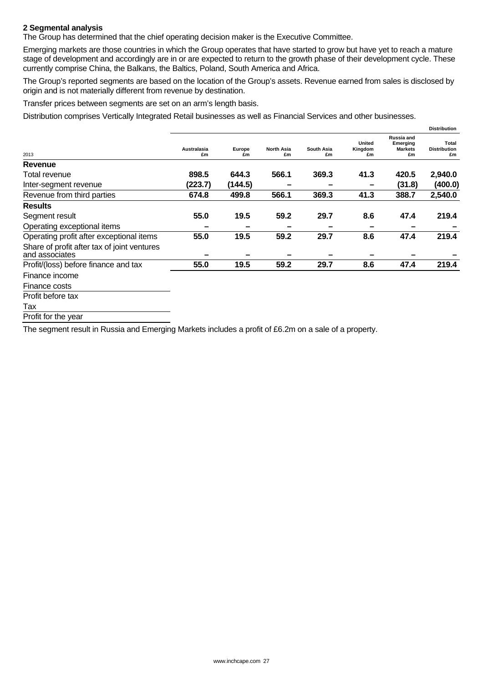## **2 Segmental analysis**

The Group has determined that the chief operating decision maker is the Executive Committee.

Emerging markets are those countries in which the Group operates that have started to grow but have yet to reach a mature stage of development and accordingly are in or are expected to return to the growth phase of their development cycle. These currently comprise China, the Balkans, the Baltics, Poland, South America and Africa.

The Group's reported segments are based on the location of the Group's assets. Revenue earned from sales is disclosed by origin and is not materially different from revenue by destination.

Transfer prices between segments are set on an arm's length basis.

Distribution comprises Vertically Integrated Retail businesses as well as Financial Services and other businesses.

|                                                               |                   |              |                         |                  |                         |                                                | <b>Distribution</b>                |
|---------------------------------------------------------------|-------------------|--------------|-------------------------|------------------|-------------------------|------------------------------------------------|------------------------------------|
| 2013                                                          | Australasia<br>£m | Europe<br>£m | <b>North Asia</b><br>£m | South Asia<br>£m | United<br>Kingdom<br>£m | Russia and<br>Emerging<br><b>Markets</b><br>£m | Total<br><b>Distribution</b><br>£m |
| Revenue                                                       |                   |              |                         |                  |                         |                                                |                                    |
| Total revenue                                                 | 898.5             | 644.3        | 566.1                   | 369.3            | 41.3                    | 420.5                                          | 2,940.0                            |
| Inter-segment revenue                                         | (223.7)           | (144.5)      |                         |                  |                         | (31.8)                                         | (400.0)                            |
| Revenue from third parties                                    | 674.8             | 499.8        | 566.1                   | 369.3            | 41.3                    | 388.7                                          | 2,540.0                            |
| <b>Results</b>                                                |                   |              |                         |                  |                         |                                                |                                    |
| Segment result                                                | 55.0              | 19.5         | 59.2                    | 29.7             | 8.6                     | 47.4                                           | 219.4                              |
| Operating exceptional items                                   |                   | -            |                         |                  |                         |                                                |                                    |
| Operating profit after exceptional items                      | 55.0              | 19.5         | 59.2                    | 29.7             | 8.6                     | 47.4                                           | 219.4                              |
| Share of profit after tax of joint ventures<br>and associates |                   |              |                         |                  |                         |                                                |                                    |
| Profit/(loss) before finance and tax                          | 55.0              | 19.5         | 59.2                    | 29.7             | 8.6                     | 47.4                                           | 219.4                              |
| Finance income                                                |                   |              |                         |                  |                         |                                                |                                    |
| Finance costs                                                 |                   |              |                         |                  |                         |                                                |                                    |

Profit before tax

Tax

Profit for the year

The segment result in Russia and Emerging Markets includes a profit of £6.2m on a sale of a property.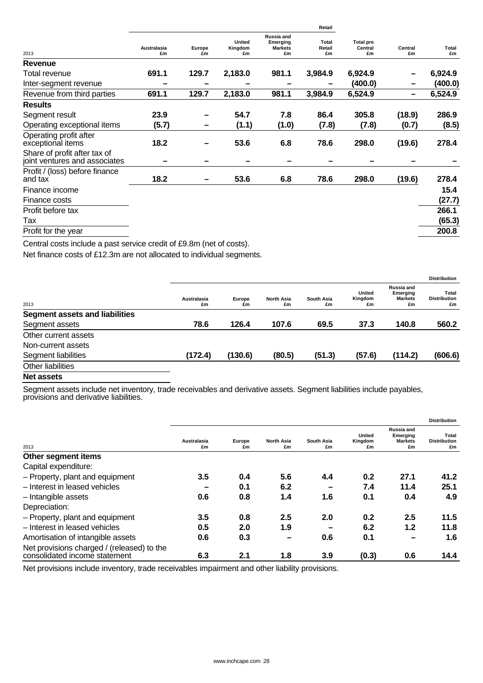| 2013                                                          | Retail                   |              |                         |                                                |                       |                                   |               |             |  |
|---------------------------------------------------------------|--------------------------|--------------|-------------------------|------------------------------------------------|-----------------------|-----------------------------------|---------------|-------------|--|
|                                                               | <b>Australasia</b><br>£m | Europe<br>£m | United<br>Kingdom<br>£m | Russia and<br>Emerging<br><b>Markets</b><br>£m | Total<br>Retail<br>£m | <b>Total pre</b><br>Central<br>£m | Central<br>£m | Total<br>£m |  |
| Revenue                                                       |                          |              |                         |                                                |                       |                                   |               |             |  |
| Total revenue                                                 | 691.1                    | 129.7        | 2,183.0                 | 981.1                                          | 3,984.9               | 6,924.9                           |               | 6,924.9     |  |
| Inter-segment revenue                                         |                          |              |                         |                                                |                       | (400.0)                           |               | (400.0)     |  |
| Revenue from third parties                                    | 691.1                    | 129.7        | 2,183.0                 | 981.1                                          | 3,984.9               | 6,524.9                           | -             | 6,524.9     |  |
| <b>Results</b>                                                |                          |              |                         |                                                |                       |                                   |               |             |  |
| Segment result                                                | 23.9                     |              | 54.7                    | 7.8                                            | 86.4                  | 305.8                             | (18.9)        | 286.9       |  |
| Operating exceptional items                                   | (5.7)                    |              | (1.1)                   | (1.0)                                          | (7.8)                 | (7.8)                             | (0.7)         | (8.5)       |  |
| Operating profit after<br>exceptional items                   | 18.2                     |              | 53.6                    | 6.8                                            | 78.6                  | 298.0                             | (19.6)        | 278.4       |  |
| Share of profit after tax of<br>joint ventures and associates |                          |              |                         |                                                |                       |                                   |               |             |  |
| Profit / (loss) before finance<br>and tax                     | 18.2                     |              | 53.6                    | 6.8                                            | 78.6                  | 298.0                             | (19.6)        | 278.4       |  |
| Finance income                                                |                          |              |                         |                                                |                       |                                   |               | 15.4        |  |
| Finance costs                                                 |                          |              |                         |                                                |                       |                                   |               | (27.7)      |  |
| Profit before tax                                             |                          |              |                         |                                                |                       |                                   |               | 266.1       |  |
| Тах                                                           |                          |              |                         |                                                |                       |                                   |               | (65.3)      |  |
| Profit for the year                                           |                          |              |                         |                                                |                       |                                   |               | 200.8       |  |
|                                                               |                          |              |                         |                                                |                       |                                   |               |             |  |

Central costs include a past service credit of £9.8m (net of costs).

Net finance costs of £12.3m are not allocated to individual segments.

|                                       |                   |              |                         |                  |                                |                                                | <b>Distribution</b>                |
|---------------------------------------|-------------------|--------------|-------------------------|------------------|--------------------------------|------------------------------------------------|------------------------------------|
| 2013                                  | Australasia<br>£m | Europe<br>£m | <b>North Asia</b><br>£m | South Asia<br>£m | <b>United</b><br>Kingdom<br>£m | Russia and<br>Emerging<br><b>Markets</b><br>£m | Total<br><b>Distribution</b><br>£m |
| <b>Segment assets and liabilities</b> |                   |              |                         |                  |                                |                                                |                                    |
| Segment assets                        | 78.6              | 126.4        | 107.6                   | 69.5             | 37.3                           | 140.8                                          | 560.2                              |
| Other current assets                  |                   |              |                         |                  |                                |                                                |                                    |
| Non-current assets                    |                   |              |                         |                  |                                |                                                |                                    |
| Segment liabilities                   | (172.4)           | (130.6)      | (80.5)                  | (51.3)           | (57.6)                         | (114.2)                                        | (606.6)                            |
| Other liabilities                     |                   |              |                         |                  |                                |                                                |                                    |
| .                                     |                   |              |                         |                  |                                |                                                |                                    |

**Net assets** 

Segment assets include net inventory, trade receivables and derivative assets. Segment liabilities include payables, provisions and derivative liabilities.

|                                                                             |                   |              |                         |                  |                                | <b>Distribution</b>                            |                                    |  |
|-----------------------------------------------------------------------------|-------------------|--------------|-------------------------|------------------|--------------------------------|------------------------------------------------|------------------------------------|--|
| 2013                                                                        | Australasia<br>£m | Europe<br>£m | <b>North Asia</b><br>£m | South Asia<br>£m | <b>United</b><br>Kingdom<br>£m | Russia and<br>Emerging<br><b>Markets</b><br>£m | Total<br><b>Distribution</b><br>£m |  |
| Other segment items                                                         |                   |              |                         |                  |                                |                                                |                                    |  |
| Capital expenditure:                                                        |                   |              |                         |                  |                                |                                                |                                    |  |
| - Property, plant and equipment                                             | 3.5               | 0.4          | 5.6                     | 4.4              | 0.2                            | 27.1                                           | 41.2                               |  |
| - Interest in leased vehicles                                               |                   | 0.1          | 6.2                     | -                | 7.4                            | 11.4                                           | 25.1                               |  |
| - Intangible assets                                                         | 0.6               | 0.8          | 1.4                     | 1.6              | 0.1                            | 0.4                                            | 4.9                                |  |
| Depreciation:                                                               |                   |              |                         |                  |                                |                                                |                                    |  |
| - Property, plant and equipment                                             | 3.5               | 0.8          | 2.5                     | 2.0              | 0.2                            | 2.5                                            | 11.5                               |  |
| - Interest in leased vehicles                                               | 0.5               | 2.0          | 1.9                     |                  | 6.2                            | 1.2                                            | 11.8                               |  |
| Amortisation of intangible assets                                           | 0.6               | 0.3          |                         | 0.6              | 0.1                            |                                                | 1.6                                |  |
| Net provisions charged / (released) to the<br>consolidated income statement | 6.3               | 2.1          | 1.8                     | 3.9              | (0.3)                          | 0.6                                            | 14.4                               |  |

Net provisions include inventory, trade receivables impairment and other liability provisions.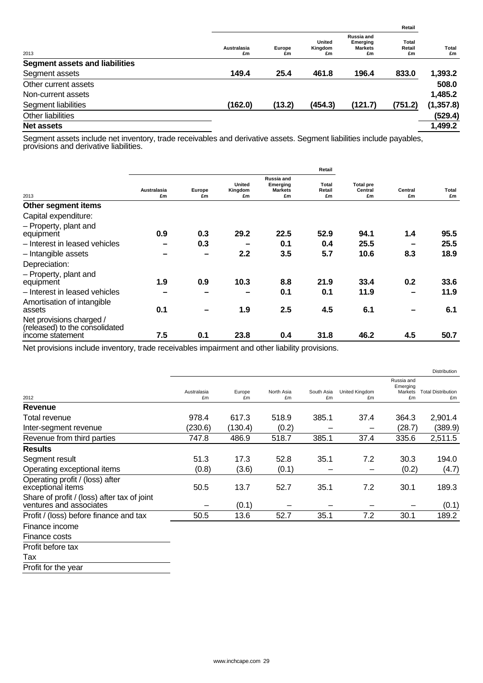|                                       |                   |              |                                |                                                | Retail                       |             |
|---------------------------------------|-------------------|--------------|--------------------------------|------------------------------------------------|------------------------------|-------------|
| 2013                                  | Australasia<br>£m | Europe<br>£m | <b>United</b><br>Kingdom<br>£m | Russia and<br>Emerging<br><b>Markets</b><br>£m | <b>Total</b><br>Retail<br>£m | Total<br>£m |
| <b>Segment assets and liabilities</b> |                   |              |                                |                                                |                              |             |
| Segment assets                        | 149.4             | 25.4         | 461.8                          | 196.4                                          | 833.0                        | 1,393.2     |
| Other current assets                  |                   |              |                                |                                                |                              | 508.0       |
| Non-current assets                    |                   |              |                                |                                                |                              | 1,485.2     |
| Segment liabilities                   | (162.0)           | (13.2)       | (454.3)                        | (121.7)                                        | (751.2)                      | (1, 357.8)  |
| Other liabilities                     |                   |              |                                |                                                |                              | (529.4)     |
| <b>Net assets</b>                     |                   |              |                                |                                                |                              | 1,499.2     |

Segment assets include net inventory, trade receivables and derivative assets. Segment liabilities include payables, provisions and derivative liabilities.

|                                                            |                   |              | Retail                  |                                                |                       |                                   |               |             |
|------------------------------------------------------------|-------------------|--------------|-------------------------|------------------------------------------------|-----------------------|-----------------------------------|---------------|-------------|
| 2013                                                       | Australasia<br>£m | Europe<br>£m | United<br>Kingdom<br>£m | Russia and<br>Emerging<br><b>Markets</b><br>£m | Total<br>Retail<br>£m | <b>Total pre</b><br>Central<br>£m | Central<br>£m | Total<br>£m |
| Other segment items                                        |                   |              |                         |                                                |                       |                                   |               |             |
| Capital expenditure:                                       |                   |              |                         |                                                |                       |                                   |               |             |
| - Property, plant and                                      |                   |              |                         |                                                |                       |                                   |               |             |
| equipment                                                  | 0.9               | 0.3          | 29.2                    | 22.5                                           | 52.9                  | 94.1                              | 1.4           | 95.5        |
| - Interest in leased vehicles                              | -                 | 0.3          |                         | 0.1                                            | 0.4                   | 25.5                              |               | 25.5        |
| - Intangible assets                                        |                   | -            | 2.2                     | 3.5                                            | 5.7                   | 10.6                              | 8.3           | 18.9        |
| Depreciation:                                              |                   |              |                         |                                                |                       |                                   |               |             |
| - Property, plant and                                      |                   |              |                         |                                                |                       |                                   |               |             |
| equipment                                                  | 1.9               | 0.9          | 10.3                    | 8.8                                            | 21.9                  | 33.4                              | 0.2           | 33.6        |
| - Interest in leased vehicles                              |                   |              |                         | 0.1                                            | 0.1                   | 11.9                              |               | 11.9        |
| Amortisation of intangible<br>assets                       | 0.1               |              | 1.9                     | 2.5                                            | 4.5                   | 6.1                               |               | 6.1         |
| Net provisions charged /<br>(released) to the consolidated |                   |              |                         |                                                |                       |                                   |               |             |
| income statement                                           | 7.5               | 0.1          | 23.8                    | 0.4                                            | 31.8                  | 46.2                              | 4.5           | 50.7        |

Net provisions include inventory, trade receivables impairment and other liability provisions.

Tax

Profit for the year

|                                                                        |                   |              |                  |                  |                      |                                         | <b>Distribution</b>             |
|------------------------------------------------------------------------|-------------------|--------------|------------------|------------------|----------------------|-----------------------------------------|---------------------------------|
| 2012                                                                   | Australasia<br>£m | Europe<br>£m | North Asia<br>£m | South Asia<br>£m | United Kingdom<br>£m | Russia and<br>Emerging<br>Markets<br>£m | <b>Total Distribution</b><br>£m |
| Revenue                                                                |                   |              |                  |                  |                      |                                         |                                 |
| Total revenue                                                          | 978.4             | 617.3        | 518.9            | 385.1            | 37.4                 | 364.3                                   | 2,901.4                         |
| Inter-segment revenue                                                  | (230.6)           | (130.4)      | (0.2)            |                  |                      | (28.7)                                  | (389.9)                         |
| Revenue from third parties                                             | 747.8             | 486.9        | 518.7            | 385.1            | 37.4                 | 335.6                                   | 2,511.5                         |
| <b>Results</b>                                                         |                   |              |                  |                  |                      |                                         |                                 |
| Segment result                                                         | 51.3              | 17.3         | 52.8             | 35.1             | 7.2                  | 30.3                                    | 194.0                           |
| Operating exceptional items                                            | (0.8)             | (3.6)        | (0.1)            |                  |                      | (0.2)                                   | (4.7)                           |
| Operating profit / (loss) after<br>exceptional items                   | 50.5              | 13.7         | 52.7             | 35.1             | 7.2                  | 30.1                                    | 189.3                           |
| Share of profit / (loss) after tax of joint<br>ventures and associates |                   | (0.1)        |                  |                  |                      |                                         | (0.1)                           |
| Profit / (loss) before finance and tax                                 | 50.5              | 13.6         | 52.7             | 35.1             | 7.2                  | 30.1                                    | 189.2                           |
| Finance income                                                         |                   |              |                  |                  |                      |                                         |                                 |
| Finance costs                                                          |                   |              |                  |                  |                      |                                         |                                 |
| Profit before tax                                                      |                   |              |                  |                  |                      |                                         |                                 |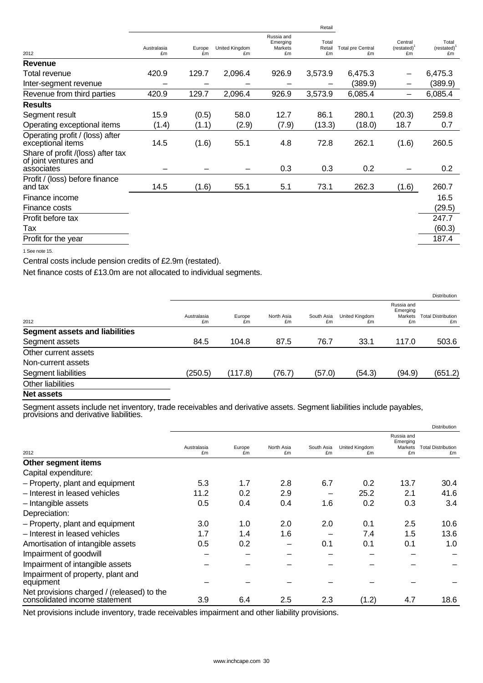|                                                                                                                                                                                                                                                                                                                                                                                      |                   |              |                             |                                         | Retail                |                                |                               |                               |
|--------------------------------------------------------------------------------------------------------------------------------------------------------------------------------------------------------------------------------------------------------------------------------------------------------------------------------------------------------------------------------------|-------------------|--------------|-----------------------------|-----------------------------------------|-----------------------|--------------------------------|-------------------------------|-------------------------------|
| 2012                                                                                                                                                                                                                                                                                                                                                                                 | Australasia<br>£m | Europe<br>£m | <b>United Kingdom</b><br>£m | Russia and<br>Emerging<br>Markets<br>£m | Total<br>Retail<br>£m | <b>Total pre Central</b><br>£m | Central<br>$(rested)^1$<br>£m | Total<br>$(restated)^1$<br>£m |
| Revenue                                                                                                                                                                                                                                                                                                                                                                              |                   |              |                             |                                         |                       |                                |                               |                               |
| Total revenue                                                                                                                                                                                                                                                                                                                                                                        | 420.9             | 129.7        | 2,096.4                     | 926.9                                   | 3,573.9               | 6,475.3                        | —                             | 6,475.3                       |
| Inter-segment revenue                                                                                                                                                                                                                                                                                                                                                                |                   |              |                             |                                         |                       | (389.9)                        | -                             | (389.9)                       |
| Revenue from third parties                                                                                                                                                                                                                                                                                                                                                           | 420.9             | 129.7        | 2,096.4                     | 926.9                                   | 3,573.9               | 6,085.4                        | —                             | 6,085.4                       |
| <b>Results</b>                                                                                                                                                                                                                                                                                                                                                                       |                   |              |                             |                                         |                       |                                |                               |                               |
| Segment result                                                                                                                                                                                                                                                                                                                                                                       | 15.9              | (0.5)        | 58.0                        | 12.7                                    | 86.1                  | 280.1                          | (20.3)                        | 259.8                         |
| Operating exceptional items                                                                                                                                                                                                                                                                                                                                                          | (1.4)             | (1.1)        | (2.9)                       | (7.9)                                   | (13.3)                | (18.0)                         | 18.7                          | 0.7                           |
| Operating profit / (loss) after<br>exceptional items                                                                                                                                                                                                                                                                                                                                 | 14.5              | (1.6)        | 55.1                        | 4.8                                     | 72.8                  | 262.1                          | (1.6)                         | 260.5                         |
| Share of profit /(loss) after tax<br>of joint ventures and<br>associates                                                                                                                                                                                                                                                                                                             |                   |              |                             | 0.3                                     | 0.3                   | 0.2                            |                               | 0.2                           |
| Profit / (loss) before finance<br>and tax                                                                                                                                                                                                                                                                                                                                            | 14.5              | (1.6)        | 55.1                        | 5.1                                     | 73.1                  | 262.3                          | (1.6)                         | 260.7                         |
| Finance income                                                                                                                                                                                                                                                                                                                                                                       |                   |              |                             |                                         |                       |                                |                               | 16.5                          |
| Finance costs                                                                                                                                                                                                                                                                                                                                                                        |                   |              |                             |                                         |                       |                                |                               | (29.5)                        |
| Profit before tax                                                                                                                                                                                                                                                                                                                                                                    |                   |              |                             |                                         |                       |                                |                               | 247.7                         |
| Tax                                                                                                                                                                                                                                                                                                                                                                                  |                   |              |                             |                                         |                       |                                |                               | (60.3)                        |
| Profit for the year                                                                                                                                                                                                                                                                                                                                                                  |                   |              |                             |                                         |                       |                                |                               | 187.4                         |
| $\overline{A}$ $\overline{A}$ $\overline{A}$ $\overline{A}$ $\overline{A}$ $\overline{A}$ $\overline{A}$ $\overline{A}$ $\overline{A}$ $\overline{A}$ $\overline{A}$ $\overline{A}$ $\overline{A}$ $\overline{A}$ $\overline{A}$ $\overline{A}$ $\overline{A}$ $\overline{A}$ $\overline{A}$ $\overline{A}$ $\overline{A}$ $\overline{A}$ $\overline{A}$ $\overline{A}$ $\overline{$ |                   |              |                             |                                         |                       |                                |                               |                               |

1 See note 15.

Central costs include pension credits of £2.9m (restated).

Net finance costs of £13.0m are not allocated to individual segments.

|                                       |                   |              |                  |                  |                      |                                         | <b>Distribution</b>             |
|---------------------------------------|-------------------|--------------|------------------|------------------|----------------------|-----------------------------------------|---------------------------------|
| 2012                                  | Australasia<br>£m | Europe<br>£m | North Asia<br>£m | South Asia<br>£m | United Kingdom<br>£m | Russia and<br>Emerging<br>Markets<br>£m | <b>Total Distribution</b><br>£m |
| <b>Segment assets and liabilities</b> |                   |              |                  |                  |                      |                                         |                                 |
| Segment assets                        | 84.5              | 104.8        | 87.5             | 76.7             | 33.1                 | 117.0                                   | 503.6                           |
| Other current assets                  |                   |              |                  |                  |                      |                                         |                                 |
| Non-current assets                    |                   |              |                  |                  |                      |                                         |                                 |
| Segment liabilities                   | (250.5)           | (117.8)      | (76.7)           | (57.0)           | (54.3)               | (94.9)                                  | (651.2)                         |
| Other liabilities                     |                   |              |                  |                  |                      |                                         |                                 |
| <b>Matematic</b>                      |                   |              |                  |                  |                      |                                         |                                 |

#### **Net assets**

Segment assets include net inventory, trade receivables and derivative assets. Segment liabilities include payables, provisions and derivative liabilities.

|                                                                             |                   |              |                  |                  |                      |                                         | <b>Distribution</b>             |
|-----------------------------------------------------------------------------|-------------------|--------------|------------------|------------------|----------------------|-----------------------------------------|---------------------------------|
| 2012                                                                        | Australasia<br>£m | Europe<br>£m | North Asia<br>£m | South Asia<br>£m | United Kingdom<br>£m | Russia and<br>Emerging<br>Markets<br>£m | <b>Total Distribution</b><br>£m |
| Other segment items                                                         |                   |              |                  |                  |                      |                                         |                                 |
| Capital expenditure:                                                        |                   |              |                  |                  |                      |                                         |                                 |
| - Property, plant and equipment                                             | 5.3               | 1.7          | 2.8              | 6.7              | 0.2                  | 13.7                                    | 30.4                            |
| - Interest in leased vehicles                                               | 11.2              | 0.2          | 2.9              |                  | 25.2                 | 2.1                                     | 41.6                            |
| - Intangible assets                                                         | 0.5               | 0.4          | 0.4              | 1.6              | 0.2                  | 0.3                                     | 3.4                             |
| Depreciation:                                                               |                   |              |                  |                  |                      |                                         |                                 |
| - Property, plant and equipment                                             | 3.0               | 1.0          | 2.0              | 2.0              | 0.1                  | 2.5                                     | 10.6                            |
| - Interest in leased vehicles                                               | 1.7               | 1.4          | 1.6              |                  | 7.4                  | 1.5                                     | 13.6                            |
| Amortisation of intangible assets                                           | 0.5               | 0.2          |                  | 0.1              | 0.1                  | 0.1                                     | 1.0                             |
| Impairment of goodwill                                                      |                   |              |                  |                  |                      |                                         |                                 |
| Impairment of intangible assets                                             |                   |              |                  |                  |                      |                                         |                                 |
| Impairment of property, plant and<br>equipment                              |                   |              |                  |                  |                      |                                         |                                 |
| Net provisions charged / (released) to the<br>consolidated income statement | 3.9               | 6.4          | 2.5              | 2.3              | (1.2)                | 4.7                                     | 18.6                            |

Net provisions include inventory, trade receivables impairment and other liability provisions.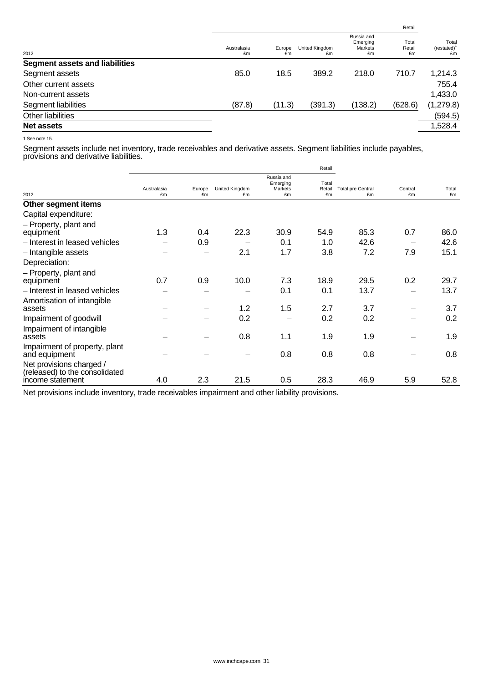|                   |              |                      |                                         | Retail                |                           |
|-------------------|--------------|----------------------|-----------------------------------------|-----------------------|---------------------------|
| Australasia<br>£m | Europe<br>£m | United Kingdom<br>£m | Russia and<br>Emerging<br>Markets<br>£m | Total<br>Retail<br>£m | Total<br>(restated)<br>£m |
|                   |              |                      |                                         |                       |                           |
| 85.0              | 18.5         | 389.2                | 218.0                                   | 710.7                 | 1,214.3                   |
|                   |              |                      |                                         |                       | 755.4                     |
|                   |              |                      |                                         |                       | 1,433.0                   |
| (87.8)            |              | (391.3)              | (138.2)                                 | (628.6)               | (1, 279.8)                |
|                   |              |                      |                                         |                       | (594.5)                   |
|                   |              |                      |                                         |                       | 1,528.4                   |
|                   |              | (11.3)               |                                         |                       |                           |

1 See note 15.

Segment assets include net inventory, trade receivables and derivative assets. Segment liabilities include payables, provisions and derivative liabilities.

|                                                                                |                   |              |                             |                                         | Retail                |                                |               |             |
|--------------------------------------------------------------------------------|-------------------|--------------|-----------------------------|-----------------------------------------|-----------------------|--------------------------------|---------------|-------------|
| 2012                                                                           | Australasia<br>£m | Europe<br>£m | <b>United Kingdom</b><br>£m | Russia and<br>Emerging<br>Markets<br>£m | Total<br>Retail<br>£m | <b>Total pre Central</b><br>£m | Central<br>£m | Total<br>£m |
| Other segment items                                                            |                   |              |                             |                                         |                       |                                |               |             |
| Capital expenditure:                                                           |                   |              |                             |                                         |                       |                                |               |             |
| - Property, plant and<br>equipment                                             | 1.3               | 0.4          | 22.3                        | 30.9                                    | 54.9                  | 85.3                           | 0.7           | 86.0        |
| - Interest in leased vehicles                                                  |                   | 0.9          |                             | 0.1                                     | 1.0                   | 42.6                           |               | 42.6        |
| - Intangible assets                                                            |                   |              | 2.1                         | 1.7                                     | 3.8                   | 7.2                            | 7.9           | 15.1        |
| Depreciation:                                                                  |                   |              |                             |                                         |                       |                                |               |             |
| - Property, plant and<br>equipment                                             | 0.7               | 0.9          | 10.0                        | 7.3                                     | 18.9                  | 29.5                           | 0.2           | 29.7        |
| - Interest in leased vehicles                                                  |                   |              |                             | 0.1                                     | 0.1                   | 13.7                           |               | 13.7        |
| Amortisation of intangible<br>assets                                           |                   |              | 1.2                         | $1.5\,$                                 | 2.7                   | 3.7                            |               | 3.7         |
| Impairment of goodwill                                                         |                   |              | 0.2                         |                                         | 0.2                   | 0.2                            |               | 0.2         |
| Impairment of intangible<br>assets                                             |                   |              | 0.8                         | 1.1                                     | 1.9                   | 1.9                            |               | 1.9         |
| Impairment of property, plant<br>and equipment                                 |                   |              |                             | 0.8                                     | 0.8                   | 0.8                            |               | 0.8         |
| Net provisions charged /<br>(released) to the consolidated<br>income statement | 4.0               | 2.3          | 21.5                        | 0.5                                     | 28.3                  | 46.9                           | 5.9           | 52.8        |

Net provisions include inventory, trade receivables impairment and other liability provisions.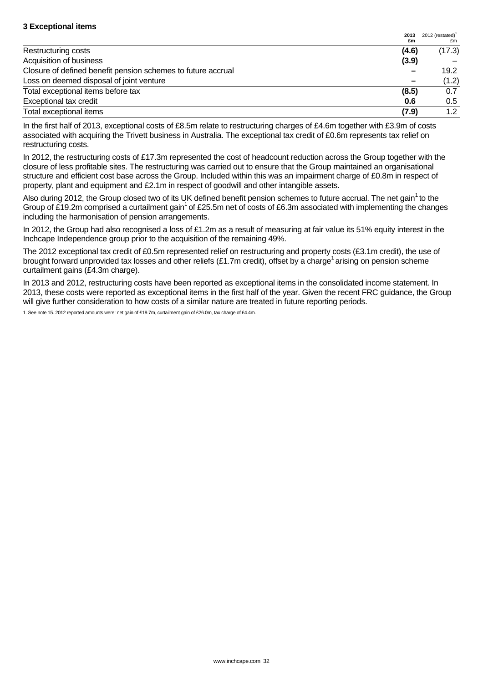| <b>3 Exceptional items</b>                                   |            |                           |
|--------------------------------------------------------------|------------|---------------------------|
|                                                              | 2013<br>£m | 2012 (restated) $1$<br>£m |
| Restructuring costs                                          | (4.6)      | (17.3)                    |
| Acquisition of business                                      | (3.9)      |                           |
| Closure of defined benefit pension schemes to future accrual |            | 19.2                      |
| Loss on deemed disposal of joint venture                     |            | (1.2)                     |
| Total exceptional items before tax                           | (8.5)      | 0.7                       |
| Exceptional tax credit                                       | 0.6        | $0.5\,$                   |
| Total exceptional items                                      | (7.9)      | 1.2                       |

In the first half of 2013, exceptional costs of £8.5m relate to restructuring charges of £4.6m together with £3.9m of costs associated with acquiring the Trivett business in Australia. The exceptional tax credit of £0.6m represents tax relief on restructuring costs.

In 2012, the restructuring costs of £17.3m represented the cost of headcount reduction across the Group together with the closure of less profitable sites. The restructuring was carried out to ensure that the Group maintained an organisational structure and efficient cost base across the Group. Included within this was an impairment charge of £0.8m in respect of property, plant and equipment and £2.1m in respect of goodwill and other intangible assets.

Also during 2012, the Group closed two of its UK defined benefit pension schemes to future accrual. The net gain<sup>1</sup> to the Group of £19.2m comprised a curtailment gain<sup>1</sup> of £25.5m net of costs of £6.3m associated with implementing the changes including the harmonisation of pension arrangements.

In 2012, the Group had also recognised a loss of £1.2m as a result of measuring at fair value its 51% equity interest in the Inchcape Independence group prior to the acquisition of the remaining 49%.

The 2012 exceptional tax credit of £0.5m represented relief on restructuring and property costs (£3.1m credit), the use of brought forward unprovided tax losses and other reliefs  $(E1.7m$  credit), offset by a charge<sup>1</sup> arising on pension scheme curtailment gains (£4.3m charge).

In 2013 and 2012, restructuring costs have been reported as exceptional items in the consolidated income statement. In 2013, these costs were reported as exceptional items in the first half of the year. Given the recent FRC guidance, the Group will give further consideration to how costs of a similar nature are treated in future reporting periods.

1. See note 15. 2012 reported amounts were: net gain of £19.7m, curtailment gain of £26.0m, tax charge of £4.4m.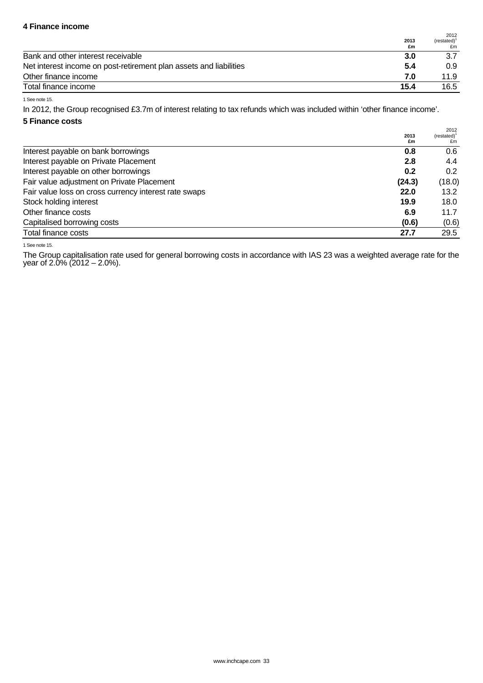# **4 Finance income**

|                                                                    | 2013<br>£m | 2012<br>(restated) <sup>1</sup><br>£m |
|--------------------------------------------------------------------|------------|---------------------------------------|
| Bank and other interest receivable                                 | 3.0        | 3.7                                   |
| Net interest income on post-retirement plan assets and liabilities | 5.4        | 0.9                                   |
| Other finance income                                               | 7.0        | 11.9                                  |
| Total finance income                                               | 15.4       | 16.5                                  |

1 See note 15.

In 2012, the Group recognised £3.7m of interest relating to tax refunds which was included within 'other finance income'.

## **5 Finance costs**

|                                                       | 2013<br>£m | 2012<br>(restated)<br>£m |
|-------------------------------------------------------|------------|--------------------------|
| Interest payable on bank borrowings                   | 0.8        | 0.6                      |
| Interest payable on Private Placement                 | 2.8        | 4.4                      |
| Interest payable on other borrowings                  | 0.2        | 0.2                      |
| Fair value adjustment on Private Placement            | (24.3)     | (18.0)                   |
| Fair value loss on cross currency interest rate swaps | 22.0       | 13.2                     |
| Stock holding interest                                | 19.9       | 18.0                     |
| Other finance costs                                   | 6.9        | 11.7                     |
| Capitalised borrowing costs                           | (0.6)      | (0.6)                    |
| Total finance costs                                   | 27.7       | 29.5                     |

1 See note 15.

The Group capitalisation rate used for general borrowing costs in accordance with IAS 23 was a weighted average rate for the year of 2.0% (2012 – 2.0%).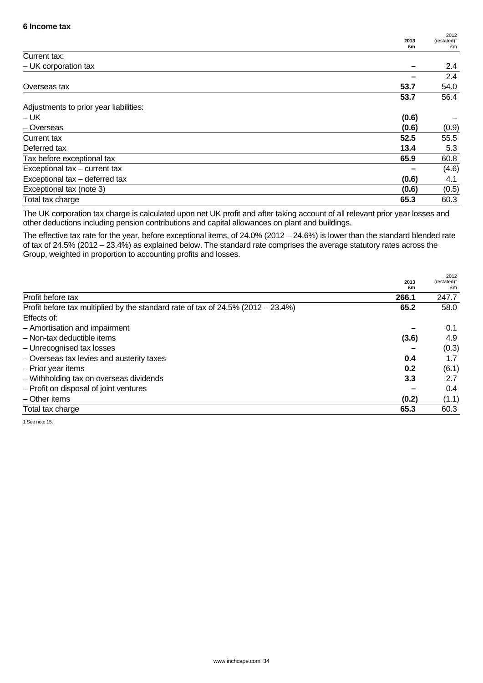|                                        | 2013  | 2012<br>$(restated)^1$ |
|----------------------------------------|-------|------------------------|
| Current tax:                           | £m    | £m                     |
|                                        |       |                        |
| $-$ UK corporation tax                 |       | 2.4                    |
|                                        |       | 2.4                    |
| Overseas tax                           | 53.7  | 54.0                   |
|                                        | 53.7  | 56.4                   |
| Adjustments to prior year liabilities: |       |                        |
| – UK                                   | (0.6) |                        |
| - Overseas                             | (0.6) | (0.9)                  |
| Current tax                            | 52.5  | 55.5                   |
| Deferred tax                           | 13.4  | 5.3                    |
| Tax before exceptional tax             | 65.9  | 60.8                   |
| Exceptional tax - current tax          |       | (4.6)                  |
| Exceptional tax - deferred tax         | (0.6) | 4.1                    |
| Exceptional tax (note 3)               | (0.6) | (0.5)                  |
| Total tax charge                       | 65.3  | 60.3                   |

The UK corporation tax charge is calculated upon net UK profit and after taking account of all relevant prior year losses and other deductions including pension contributions and capital allowances on plant and buildings.

The effective tax rate for the year, before exceptional items, of 24.0% (2012 – 24.6%) is lower than the standard blended rate of tax of 24.5% (2012 – 23.4%) as explained below. The standard rate comprises the average statutory rates across the Group, weighted in proportion to accounting profits and losses.

 $2012$ 

|                                                                                          | 2013<br>£m | ZUIZ<br>(restated) <sup>1</sup><br>£m |
|------------------------------------------------------------------------------------------|------------|---------------------------------------|
| Profit before tax                                                                        | 266.1      | 247.7                                 |
| Profit before tax multiplied by the standard rate of tax of $24.5\%$ ( $2012 - 23.4\%$ ) | 65.2       | 58.0                                  |
| Effects of:                                                                              |            |                                       |
| - Amortisation and impairment                                                            |            | 0.1                                   |
| - Non-tax deductible items                                                               | (3.6)      | 4.9                                   |
| - Unrecognised tax losses                                                                |            | (0.3)                                 |
| - Overseas tax levies and austerity taxes                                                | 0.4        | 1.7                                   |
| - Prior year items                                                                       | 0.2        | (6.1)                                 |
| - Withholding tax on overseas dividends                                                  | 3.3        | 2.7                                   |
| - Profit on disposal of joint ventures                                                   |            | 0.4                                   |
| $-$ Other items                                                                          | (0.2)      | (1.1)                                 |
| Total tax charge                                                                         | 65.3       | 60.3                                  |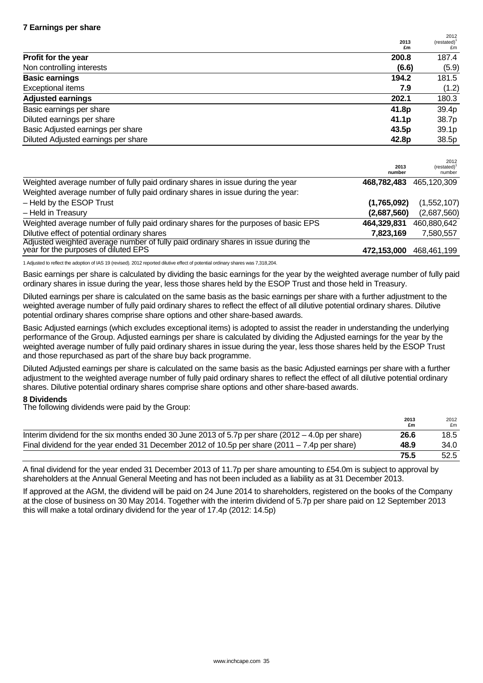|                                     | 2013<br>£m        | 2012<br>(rested) <sup>1</sup><br>£m |
|-------------------------------------|-------------------|-------------------------------------|
| Profit for the year                 | 200.8             | 187.4                               |
| Non controlling interests           | (6.6)             | (5.9)                               |
| <b>Basic earnings</b>               | 194.2             | 181.5                               |
| Exceptional items                   | 7.9               | (1.2)                               |
| <b>Adjusted earnings</b>            | 202.1             | 180.3                               |
| Basic earnings per share            | 41.8p             | 39.4p                               |
| Diluted earnings per share          | 41.1 <sub>p</sub> | 38.7p                               |
| Basic Adjusted earnings per share   | 43.5p             | 39.1p                               |
| Diluted Adjusted earnings per share | 42.8p             | 38.5p                               |

|                                                                                                                            | 2013<br>number | 2012<br>$(rested)^T$<br>number |
|----------------------------------------------------------------------------------------------------------------------------|----------------|--------------------------------|
| Weighted average number of fully paid ordinary shares in issue during the year                                             | 468,782,483    | 465,120,309                    |
| Weighted average number of fully paid ordinary shares in issue during the year:                                            |                |                                |
| - Held by the ESOP Trust                                                                                                   | (1,765,092)    | (1,552,107)                    |
| - Held in Treasury                                                                                                         | (2,687,560)    | (2,687,560)                    |
| Weighted average number of fully paid ordinary shares for the purposes of basic EPS                                        | 464,329,831    | 460,880,642                    |
| Dilutive effect of potential ordinary shares                                                                               | 7,823,169      | 7,580,557                      |
| Adjusted weighted average number of fully paid ordinary shares in issue during the<br>year for the purposes of diluted EPS | 472,153,000    | 468.461.199                    |

1 Adjusted to reflect the adoption of IAS 19 (revised). 2012 reported dilutive effect of potential ordinary shares was 7,318,204.

Basic earnings per share is calculated by dividing the basic earnings for the year by the weighted average number of fully paid ordinary shares in issue during the year, less those shares held by the ESOP Trust and those held in Treasury.

Diluted earnings per share is calculated on the same basis as the basic earnings per share with a further adjustment to the weighted average number of fully paid ordinary shares to reflect the effect of all dilutive potential ordinary shares. Dilutive potential ordinary shares comprise share options and other share-based awards.

Basic Adjusted earnings (which excludes exceptional items) is adopted to assist the reader in understanding the underlying performance of the Group. Adjusted earnings per share is calculated by dividing the Adjusted earnings for the year by the weighted average number of fully paid ordinary shares in issue during the year, less those shares held by the ESOP Trust and those repurchased as part of the share buy back programme.

Diluted Adjusted earnings per share is calculated on the same basis as the basic Adjusted earnings per share with a further adjustment to the weighted average number of fully paid ordinary shares to reflect the effect of all dilutive potential ordinary shares. Dilutive potential ordinary shares comprise share options and other share-based awards.

### **8 Dividends**

The following dividends were paid by the Group:

|                                                                                                    | 2013<br>£m | 2012<br>£m |
|----------------------------------------------------------------------------------------------------|------------|------------|
| Interim dividend for the six months ended 30 June 2013 of 5.7p per share $(2012 - 4.0p$ per share) | 26.6       | 18.5       |
| Final dividend for the year ended 31 December 2012 of 10.5p per share (2011 – 7.4p per share)      | 48.9       | 34.0       |
|                                                                                                    | 75.5       | 52.5       |

A final dividend for the year ended 31 December 2013 of 11.7p per share amounting to £54.0m is subject to approval by shareholders at the Annual General Meeting and has not been included as a liability as at 31 December 2013.

If approved at the AGM, the dividend will be paid on 24 June 2014 to shareholders, registered on the books of the Company at the close of business on 30 May 2014. Together with the interim dividend of 5.7p per share paid on 12 September 2013 this will make a total ordinary dividend for the year of 17.4p (2012: 14.5p)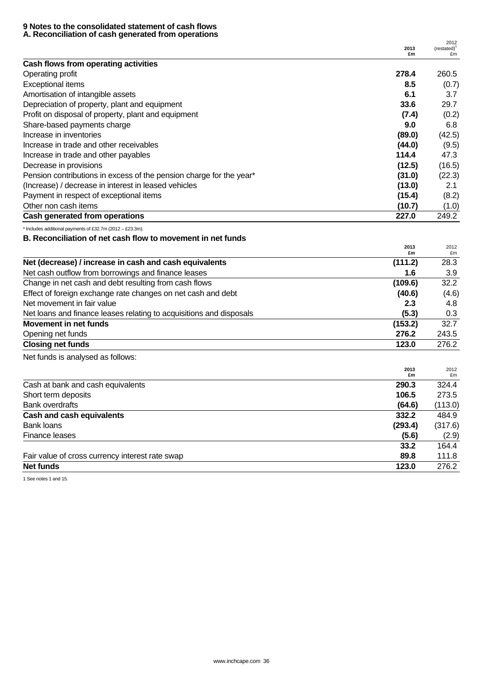#### **9 Notes to the consolidated statement of cash flows A. Reconciliation of cash generated from operations**

|                                                                     |        | 2012           |
|---------------------------------------------------------------------|--------|----------------|
|                                                                     | 2013   | $(restated)^1$ |
|                                                                     | £m     | £m             |
| Cash flows from operating activities                                |        |                |
| Operating profit                                                    | 278.4  | 260.5          |
| <b>Exceptional items</b>                                            | 8.5    | (0.7)          |
| Amortisation of intangible assets                                   | 6.1    | 3.7            |
| Depreciation of property, plant and equipment                       | 33.6   | 29.7           |
| Profit on disposal of property, plant and equipment                 | (7.4)  | (0.2)          |
| Share-based payments charge                                         | 9.0    | 6.8            |
| Increase in inventories                                             | (89.0) | (42.5)         |
| Increase in trade and other receivables                             | (44.0) | (9.5)          |
| Increase in trade and other payables                                | 114.4  | 47.3           |
| Decrease in provisions                                              | (12.5) | (16.5)         |
| Pension contributions in excess of the pension charge for the year* | (31.0) | (22.3)         |
| (Increase) / decrease in interest in leased vehicles                | (13.0) | 2.1            |
| Payment in respect of exceptional items                             | (15.4) | (8.2)          |
| Other non cash items                                                | (10.7) | (1.0)          |
| Cash generated from operations                                      | 227.0  | 249.2          |

\* Includes additional payments of £32.7m (2012 – £23.3m).

# **B. Reconciliation of net cash flow to movement in net funds 2013**

| 2013<br>£m | 2012<br>£m |
|------------|------------|
| (111.2)    | 28.3       |
| 1.6        | 3.9        |
| (109.6)    | 32.2       |
| (40.6)     | (4.6)      |
| 2.3        | 4.8        |
| (5.3)      | 0.3        |
| (153.2)    | 32.7       |
| 276.2      | 243.5      |
| 123.0      | 276.2      |
|            |            |

Net funds is analysed as follows:

|                                                 | 2013<br>£m | 2012<br>£m |
|-------------------------------------------------|------------|------------|
| Cash at bank and cash equivalents               | 290.3      | 324.4      |
| Short term deposits                             | 106.5      | 273.5      |
| <b>Bank overdrafts</b>                          | (64.6)     | (113.0)    |
| <b>Cash and cash equivalents</b>                | 332.2      | 484.9      |
| Bank loans                                      | (293.4)    | (317.6)    |
| Finance leases                                  | (5.6)      | (2.9)      |
|                                                 | 33.2       | 164.4      |
| Fair value of cross currency interest rate swap | 89.8       | 111.8      |
| <b>Net funds</b>                                | 123.0      | 276.2      |

1 See notes 1 and 15.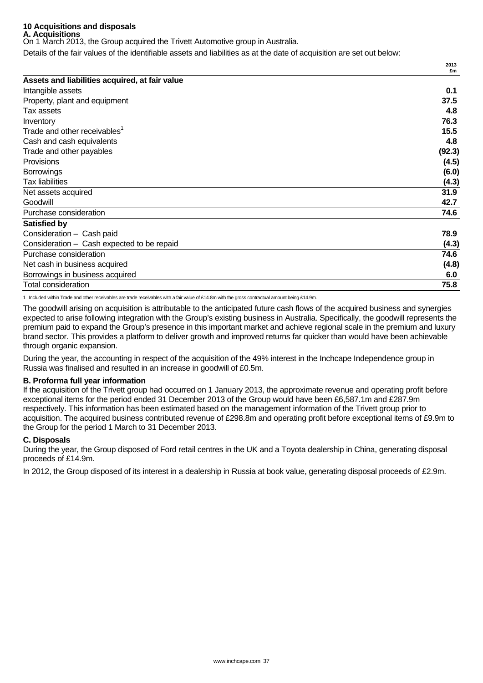#### **10 Acquisitions and disposals A. Acquisitions**

On 1 March 2013, the Group acquired the Trivett Automotive group in Australia.

Details of the fair values of the identifiable assets and liabilities as at the date of acquisition are set out below:

|                                                | £m     |
|------------------------------------------------|--------|
| Assets and liabilities acquired, at fair value |        |
| Intangible assets                              | 0.1    |
| Property, plant and equipment                  | 37.5   |
| Tax assets                                     | 4.8    |
| Inventory                                      | 76.3   |
| Trade and other receivables <sup>1</sup>       | 15.5   |
| Cash and cash equivalents                      | 4.8    |
| Trade and other payables                       | (92.3) |
| <b>Provisions</b>                              | (4.5)  |
| <b>Borrowings</b>                              | (6.0)  |
| <b>Tax liabilities</b>                         | (4.3)  |
| Net assets acquired                            | 31.9   |
| Goodwill                                       | 42.7   |
| Purchase consideration                         | 74.6   |
| <b>Satisfied by</b>                            |        |
| Consideration - Cash paid                      | 78.9   |
| Consideration - Cash expected to be repaid     | (4.3)  |
| Purchase consideration                         | 74.6   |
| Net cash in business acquired                  | (4.8)  |
| Borrowings in business acquired                | 6.0    |
| <b>Total consideration</b>                     | 75.8   |

**2013**

1 Included within Trade and other receivables are trade receivables with a fair value of £14.8m with the gross contractual amount being £14.9m.

The goodwill arising on acquisition is attributable to the anticipated future cash flows of the acquired business and synergies expected to arise following integration with the Group's existing business in Australia. Specifically, the goodwill represents the premium paid to expand the Group's presence in this important market and achieve regional scale in the premium and luxury brand sector. This provides a platform to deliver growth and improved returns far quicker than would have been achievable through organic expansion.

During the year, the accounting in respect of the acquisition of the 49% interest in the Inchcape Independence group in Russia was finalised and resulted in an increase in goodwill of £0.5m.

### **B. Proforma full year information**

If the acquisition of the Trivett group had occurred on 1 January 2013, the approximate revenue and operating profit before exceptional items for the period ended 31 December 2013 of the Group would have been £6,587.1m and £287.9m respectively. This information has been estimated based on the management information of the Trivett group prior to acquisition. The acquired business contributed revenue of £298.8m and operating profit before exceptional items of £9.9m to the Group for the period 1 March to 31 December 2013.

### **C. Disposals**

During the year, the Group disposed of Ford retail centres in the UK and a Toyota dealership in China, generating disposal proceeds of £14.9m.

In 2012, the Group disposed of its interest in a dealership in Russia at book value, generating disposal proceeds of £2.9m.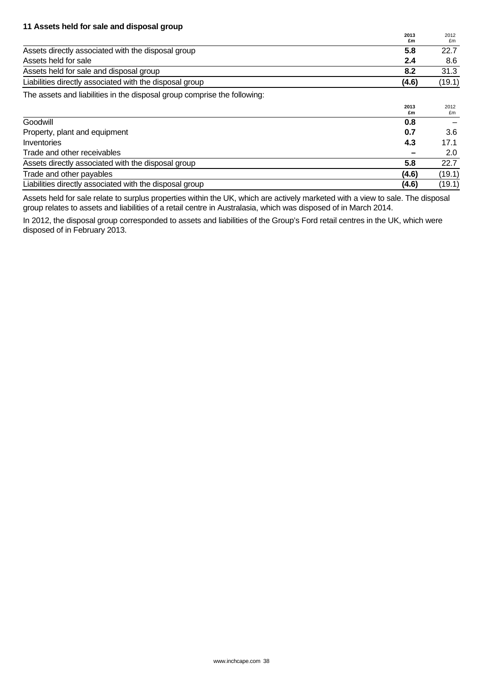## **11 Assets held for sale and disposal group 2013**

|                                                         | 2013<br>£m | 2012<br>£m |
|---------------------------------------------------------|------------|------------|
| Assets directly associated with the disposal group      | 5.8        | 22.7       |
| Assets held for sale                                    | 2.4        | 8.6        |
| Assets held for sale and disposal group                 | 8.2        | 31.3       |
| Liabilities directly associated with the disposal group | (4.6)      | (19.1)     |

The assets and liabilities in the disposal group comprise the following:

|                                                         | 2013<br>£m | 2012<br>£m |
|---------------------------------------------------------|------------|------------|
| Goodwill                                                | 0.8        |            |
| Property, plant and equipment                           | 0.7        | 3.6        |
| Inventories                                             | 4.3        | 17.1       |
| Trade and other receivables                             |            | 2.0        |
| Assets directly associated with the disposal group      | 5.8        | 22.7       |
| Trade and other payables                                | (4.6)      | (19.1)     |
| Liabilities directly associated with the disposal group | (4.6)      | (19.1)     |

Assets held for sale relate to surplus properties within the UK, which are actively marketed with a view to sale. The disposal group relates to assets and liabilities of a retail centre in Australasia, which was disposed of in March 2014.

In 2012, the disposal group corresponded to assets and liabilities of the Group's Ford retail centres in the UK, which were disposed of in February 2013.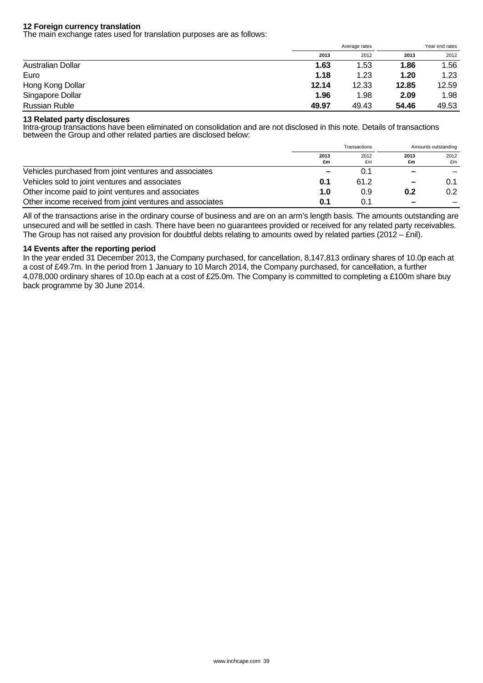### **12 Foreign currency translation**

The main exchange rates used for translation purposes are as follows:

|                      |       | Average rates |       | Year end rates |  |
|----------------------|-------|---------------|-------|----------------|--|
|                      | 2013  | 2012          | 2013  | 2012           |  |
| Australian Dollar    | 1.63  | 1.53          | 1.86  | 1.56           |  |
| Euro                 | 1.18  | 1.23          | 1.20  | 1.23           |  |
| Hong Kong Dollar     | 12.14 | 12.33         | 12.85 | 12.59          |  |
| Singapore Dollar     | 1.96  | 1.98          | 2.09  | 1.98           |  |
| <b>Russian Ruble</b> | 49.97 | 49.43         | 54.46 | 49.53          |  |

## **13 Related party disclosures**

Intra-group transactions have been eliminated on consolidation and are not disclosed in this note. Details of transactions between the Group and other related parties are disclosed below:

|                                                          | Transactions |            | Amounts outstanding |            |
|----------------------------------------------------------|--------------|------------|---------------------|------------|
|                                                          | 2013<br>£m   | 2012<br>£m | 2013<br>£m          | 2012<br>£m |
| Vehicles purchased from joint ventures and associates    | -            | 0.1        |                     |            |
| Vehicles sold to joint ventures and associates           | 0.1          | 61.2       |                     | 0.1        |
| Other income paid to joint ventures and associates       | 1.0          | 0.9        | 0.2                 | 0.2        |
| Other income received from joint ventures and associates | 0.1          | 0.1        |                     |            |

All of the transactions arise in the ordinary course of business and are on an arm's length basis. The amounts outstanding are unsecured and will be settled in cash. There have been no guarantees provided or received for any related party receivables. The Group has not raised any provision for doubtful debts relating to amounts owed by related parties (2012 – £nil).

### **14 Events after the reporting period**

In the year ended 31 December 2013, the Company purchased, for cancellation, 8,147,813 ordinary shares of 10.0p each at a cost of £49.7m. In the period from 1 January to 10 March 2014, the Company purchased, for cancellation, a further 4,078,000 ordinary shares of 10.0p each at a cost of £25.0m. The Company is committed to completing a £100m share buy back programme by 30 June 2014.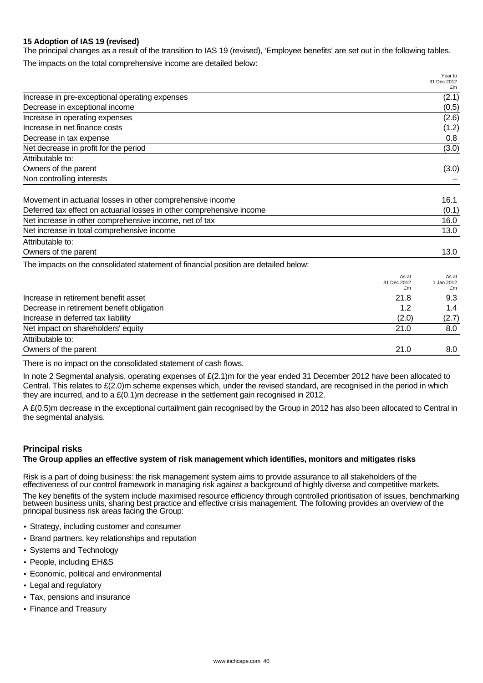# **15 Adoption of IAS 19 (revised)**

The principal changes as a result of the transition to IAS 19 (revised), 'Employee benefits' are set out in the following tables.

The impacts on the total comprehensive income are detailed below:

|                                                                                     |                            | Year to<br>31 Dec 2012    |
|-------------------------------------------------------------------------------------|----------------------------|---------------------------|
| Increase in pre-exceptional operating expenses                                      |                            | £m<br>(2.1)               |
| Decrease in exceptional income                                                      |                            | (0.5)                     |
|                                                                                     |                            |                           |
| Increase in operating expenses                                                      |                            | (2.6)                     |
| Increase in net finance costs                                                       |                            | (1.2)                     |
| Decrease in tax expense                                                             |                            | 0.8                       |
| Net decrease in profit for the period                                               |                            | (3.0)                     |
| Attributable to:                                                                    |                            |                           |
| Owners of the parent                                                                |                            | (3.0)                     |
| Non controlling interests                                                           |                            |                           |
| Movement in actuarial losses in other comprehensive income                          |                            | 16.1                      |
| Deferred tax effect on actuarial losses in other comprehensive income               |                            | (0.1)                     |
| Net increase in other comprehensive income, net of tax                              |                            | 16.0                      |
|                                                                                     |                            |                           |
| Net increase in total comprehensive income                                          |                            | 13.0                      |
| Attributable to:                                                                    |                            |                           |
| Owners of the parent                                                                |                            | 13.0                      |
| The impacts on the consolidated statement of financial position are detailed below: |                            |                           |
|                                                                                     | As at<br>31 Dec 2012<br>£m | As at<br>1 Jan 2012<br>£m |
| Increase in retirement benefit asset                                                | 21.8                       | 9.3                       |
| Decrease in retirement benefit obligation                                           | 1.2                        | 1.4                       |
| Increase in deferred tax liability                                                  | (2.0)                      | (2.7)                     |
| Net impact on shareholders' equity                                                  | 21.0                       | 8.0                       |

Attributable to:

Owners of the parent 21.0 8.0

There is no impact on the consolidated statement of cash flows.

In note 2 Segmental analysis, operating expenses of £(2.1)m for the year ended 31 December 2012 have been allocated to Central. This relates to £(2.0)m scheme expenses which, under the revised standard, are recognised in the period in which they are incurred, and to a  $\mathcal{E}(0.1)$ m decrease in the settlement gain recognised in 2012.

A £(0.5)m decrease in the exceptional curtailment gain recognised by the Group in 2012 has also been allocated to Central in the segmental analysis.

## **Principal risks**

## **The Group applies an effective system of risk management which identifies, monitors and mitigates risks**

Risk is a part of doing business: the risk management system aims to provide assurance to all stakeholders of the effectiveness of our control framework in managing risk against a background of highly diverse and competitive markets.

The key benefits of the system include maximised resource efficiency through controlled prioritisation of issues, benchmarking between business units, sharing best practice and effective crisis management. The following provides an overview of the principal business risk areas facing the Group:

- Strategy, including customer and consumer
- Brand partners, key relationships and reputation
- Systems and Technology
- People, including EH&S
- Economic, political and environmental
- Legal and regulatory
- Tax, pensions and insurance
- Finance and Treasury